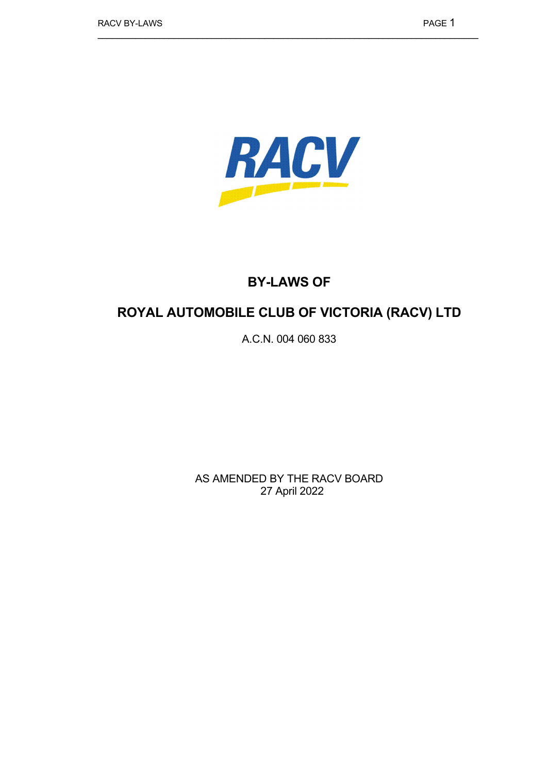

# **BY-LAWS OF**

# **ROYAL AUTOMOBILE CLUB OF VICTORIA (RACV) LTD**

A.C.N. 004 060 833

AS AMENDED BY THE RACV BOARD 27 April 2022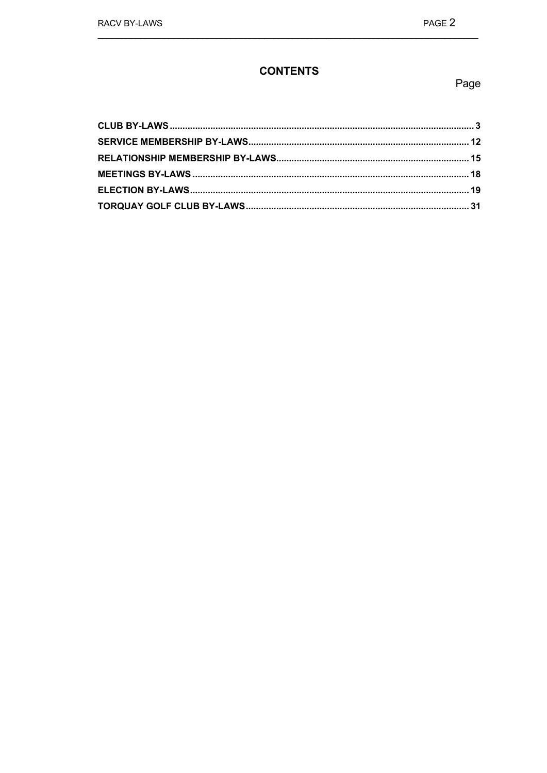## **CONTENTS**

## Page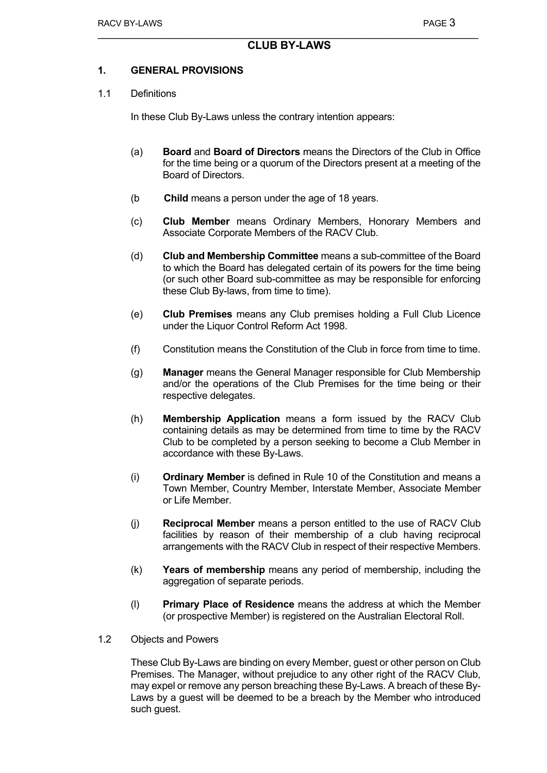## **CLUB BY-LAWS**

#### **1. GENERAL PROVISIONS**

#### 1.1 Definitions

In these Club By-Laws unless the contrary intention appears:

- (a) **Board** and **Board of Directors** means the Directors of the Club in Office for the time being or a quorum of the Directors present at a meeting of the Board of Directors.
- (b **Child** means a person under the age of 18 years.
- (c) **Club Member** means Ordinary Members, Honorary Members and Associate Corporate Members of the RACV Club.
- (d) **Club and Membership Committee** means a sub-committee of the Board to which the Board has delegated certain of its powers for the time being (or such other Board sub-committee as may be responsible for enforcing these Club By-laws, from time to time).
- (e) **Club Premises** means any Club premises holding a Full Club Licence under the Liquor Control Reform Act 1998.
- (f) Constitution means the Constitution of the Club in force from time to time.
- (g) **Manager** means the General Manager responsible for Club Membership and/or the operations of the Club Premises for the time being or their respective delegates.
- (h) **Membership Application** means a form issued by the RACV Club containing details as may be determined from time to time by the RACV Club to be completed by a person seeking to become a Club Member in accordance with these By-Laws.
- (i) **Ordinary Member** is defined in Rule 10 of the Constitution and means a Town Member, Country Member, Interstate Member, Associate Member or Life Member.
- (j) **Reciprocal Member** means a person entitled to the use of RACV Club facilities by reason of their membership of a club having reciprocal arrangements with the RACV Club in respect of their respective Members.
- (k) **Years of membership** means any period of membership, including the aggregation of separate periods.
- (l) **Primary Place of Residence** means the address at which the Member (or prospective Member) is registered on the Australian Electoral Roll.
- 1.2 Objects and Powers

These Club By-Laws are binding on every Member, guest or other person on Club Premises. The Manager, without prejudice to any other right of the RACV Club, may expel or remove any person breaching these By-Laws. A breach of these By-Laws by a guest will be deemed to be a breach by the Member who introduced such guest.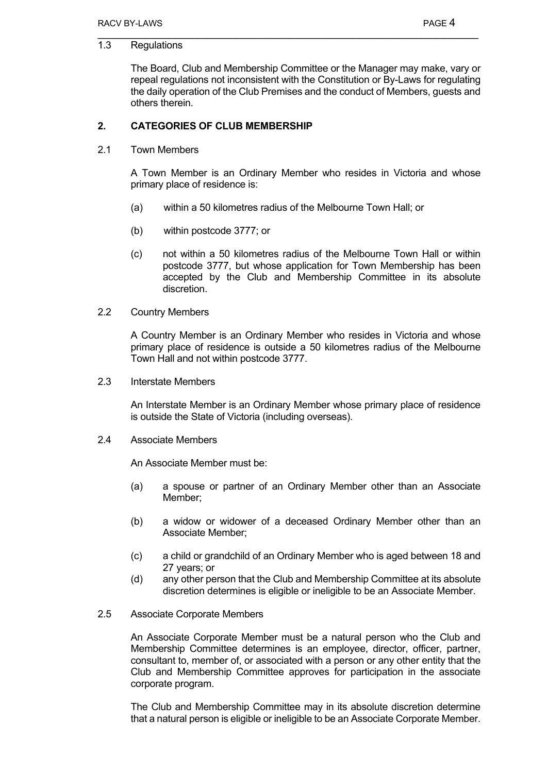## 1.3 Regulations

The Board, Club and Membership Committee or the Manager may make, vary or repeal regulations not inconsistent with the Constitution or By-Laws for regulating the daily operation of the Club Premises and the conduct of Members, guests and others therein.

## **2. CATEGORIES OF CLUB MEMBERSHIP**

2.1 Town Members

A Town Member is an Ordinary Member who resides in Victoria and whose primary place of residence is:

- (a) within a 50 kilometres radius of the Melbourne Town Hall; or
- (b) within postcode 3777; or
- (c) not within a 50 kilometres radius of the Melbourne Town Hall or within postcode 3777, but whose application for Town Membership has been accepted by the Club and Membership Committee in its absolute discretion.
- 2.2 Country Members

A Country Member is an Ordinary Member who resides in Victoria and whose primary place of residence is outside a 50 kilometres radius of the Melbourne Town Hall and not within postcode 3777.

2.3 Interstate Members

An Interstate Member is an Ordinary Member whose primary place of residence is outside the State of Victoria (including overseas).

2.4 Associate Members

An Associate Member must be:

- (a) a spouse or partner of an Ordinary Member other than an Associate Member;
- (b) a widow or widower of a deceased Ordinary Member other than an Associate Member;
- (c) a child or grandchild of an Ordinary Member who is aged between 18 and 27 years; or
- (d) any other person that the Club and Membership Committee at its absolute discretion determines is eligible or ineligible to be an Associate Member.
- 2.5 Associate Corporate Members

An Associate Corporate Member must be a natural person who the Club and Membership Committee determines is an employee, director, officer, partner, consultant to, member of, or associated with a person or any other entity that the Club and Membership Committee approves for participation in the associate corporate program.

The Club and Membership Committee may in its absolute discretion determine that a natural person is eligible or ineligible to be an Associate Corporate Member.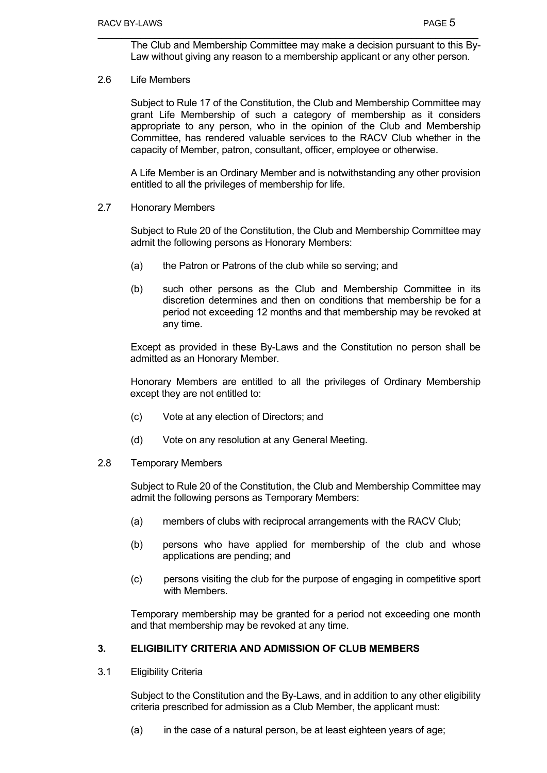The Club and Membership Committee may make a decision pursuant to this By-Law without giving any reason to a membership applicant or any other person.

## 2.6 Life Members

Subject to Rule 17 of the Constitution, the Club and Membership Committee may grant Life Membership of such a category of membership as it considers appropriate to any person, who in the opinion of the Club and Membership Committee, has rendered valuable services to the RACV Club whether in the capacity of Member, patron, consultant, officer, employee or otherwise.

A Life Member is an Ordinary Member and is notwithstanding any other provision entitled to all the privileges of membership for life.

2.7 Honorary Members

Subject to Rule 20 of the Constitution, the Club and Membership Committee may admit the following persons as Honorary Members:

- (a) the Patron or Patrons of the club while so serving; and
- (b) such other persons as the Club and Membership Committee in its discretion determines and then on conditions that membership be for a period not exceeding 12 months and that membership may be revoked at any time.

Except as provided in these By-Laws and the Constitution no person shall be admitted as an Honorary Member.

Honorary Members are entitled to all the privileges of Ordinary Membership except they are not entitled to:

- (c) Vote at any election of Directors; and
- (d) Vote on any resolution at any General Meeting.

#### 2.8 Temporary Members

Subject to Rule 20 of the Constitution, the Club and Membership Committee may admit the following persons as Temporary Members:

- (a) members of clubs with reciprocal arrangements with the RACV Club;
- (b) persons who have applied for membership of the club and whose applications are pending; and
- (c) persons visiting the club for the purpose of engaging in competitive sport with Members

Temporary membership may be granted for a period not exceeding one month and that membership may be revoked at any time.

## **3. ELIGIBILITY CRITERIA AND ADMISSION OF CLUB MEMBERS**

3.1 Eligibility Criteria

Subject to the Constitution and the By-Laws, and in addition to any other eligibility criteria prescribed for admission as a Club Member, the applicant must:

 $(a)$  in the case of a natural person, be at least eighteen years of age;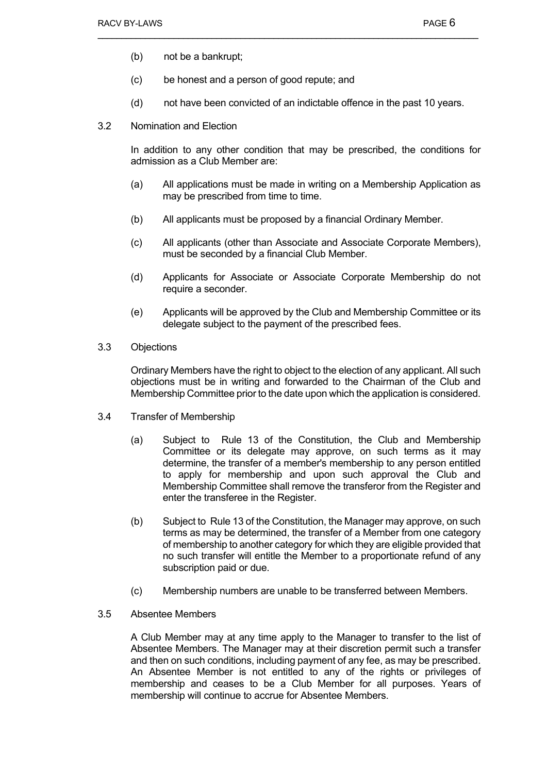- (b) not be a bankrupt;
- (c) be honest and a person of good repute; and
- (d) not have been convicted of an indictable offence in the past 10 years.
- 3.2 Nomination and Election

In addition to any other condition that may be prescribed, the conditions for admission as a Club Member are:

- (a) All applications must be made in writing on a Membership Application as may be prescribed from time to time.
- (b) All applicants must be proposed by a financial Ordinary Member.
- (c) All applicants (other than Associate and Associate Corporate Members), must be seconded by a financial Club Member.
- (d) Applicants for Associate or Associate Corporate Membership do not require a seconder.
- (e) Applicants will be approved by the Club and Membership Committee or its delegate subject to the payment of the prescribed fees.
- 3.3 Objections

Ordinary Members have the right to object to the election of any applicant. All such objections must be in writing and forwarded to the Chairman of the Club and Membership Committee prior to the date upon which the application is considered.

- 3.4 Transfer of Membership
	- (a) Subject to Rule 13 of the Constitution, the Club and Membership Committee or its delegate may approve, on such terms as it may determine, the transfer of a member's membership to any person entitled to apply for membership and upon such approval the Club and Membership Committee shall remove the transferor from the Register and enter the transferee in the Register.
	- (b) Subject to Rule 13 of the Constitution, the Manager may approve, on such terms as may be determined, the transfer of a Member from one category of membership to another category for which they are eligible provided that no such transfer will entitle the Member to a proportionate refund of any subscription paid or due.
	- (c) Membership numbers are unable to be transferred between Members.
- 3.5 Absentee Members

A Club Member may at any time apply to the Manager to transfer to the list of Absentee Members. The Manager may at their discretion permit such a transfer and then on such conditions, including payment of any fee, as may be prescribed. An Absentee Member is not entitled to any of the rights or privileges of membership and ceases to be a Club Member for all purposes. Years of membership will continue to accrue for Absentee Members.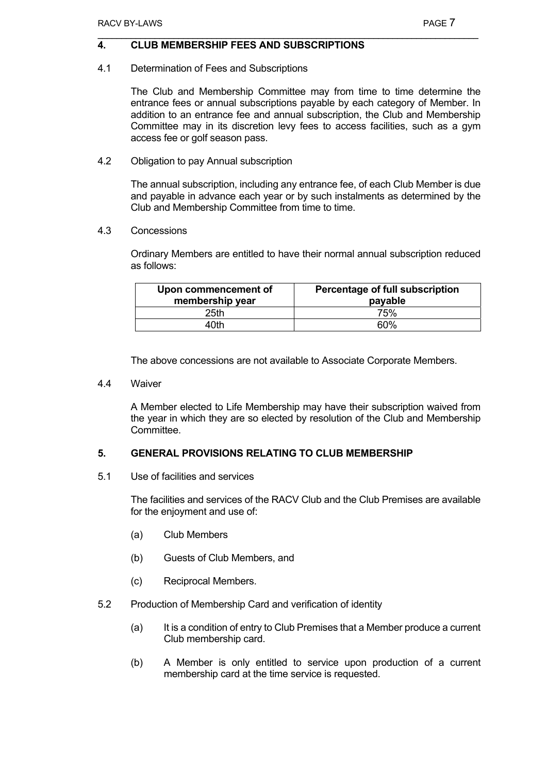## **4. CLUB MEMBERSHIP FEES AND SUBSCRIPTIONS**

4.1 Determination of Fees and Subscriptions

The Club and Membership Committee may from time to time determine the entrance fees or annual subscriptions payable by each category of Member. In addition to an entrance fee and annual subscription, the Club and Membership Committee may in its discretion levy fees to access facilities, such as a gym access fee or golf season pass.

4.2 Obligation to pay Annual subscription

The annual subscription, including any entrance fee, of each Club Member is due and payable in advance each year or by such instalments as determined by the Club and Membership Committee from time to time.

4.3 Concessions

Ordinary Members are entitled to have their normal annual subscription reduced as follows:

| Upon commencement of<br>membership year | Percentage of full subscription<br>payable |
|-----------------------------------------|--------------------------------------------|
| 25th                                    | 75%                                        |
| 40th                                    | <b>60%</b>                                 |

The above concessions are not available to Associate Corporate Members.

4.4 Waiver

A Member elected to Life Membership may have their subscription waived from the year in which they are so elected by resolution of the Club and Membership **Committee.** 

## **5. GENERAL PROVISIONS RELATING TO CLUB MEMBERSHIP**

5.1 Use of facilities and services

The facilities and services of the RACV Club and the Club Premises are available for the enjoyment and use of:

- (a) Club Members
- (b) Guests of Club Members, and
- (c) Reciprocal Members.
- 5.2 Production of Membership Card and verification of identity
	- (a) It is a condition of entry to Club Premises that a Member produce a current Club membership card.
	- (b) A Member is only entitled to service upon production of a current membership card at the time service is requested.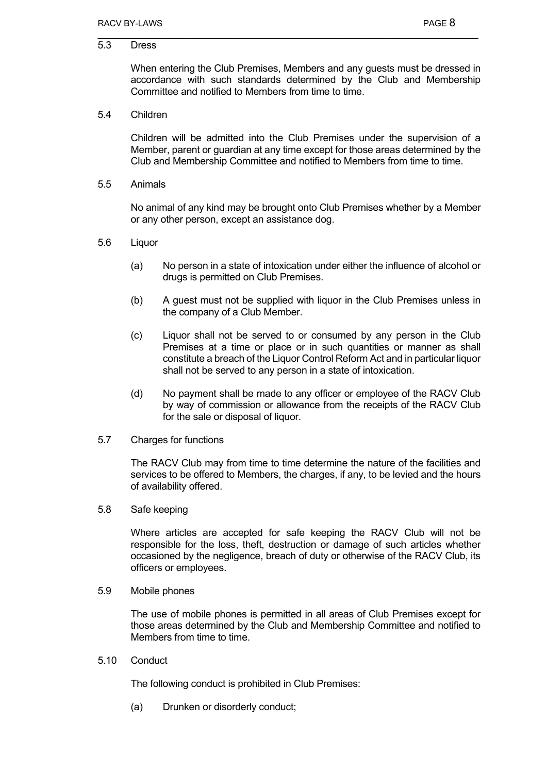5.3 Dress

When entering the Club Premises, Members and any guests must be dressed in accordance with such standards determined by the Club and Membership Committee and notified to Members from time to time.

5.4 Children

Children will be admitted into the Club Premises under the supervision of a Member, parent or guardian at any time except for those areas determined by the Club and Membership Committee and notified to Members from time to time.

5.5 Animals

No animal of any kind may be brought onto Club Premises whether by a Member or any other person, except an assistance dog.

- 5.6 Liquor
	- (a) No person in a state of intoxication under either the influence of alcohol or drugs is permitted on Club Premises.
	- (b) A guest must not be supplied with liquor in the Club Premises unless in the company of a Club Member.
	- (c) Liquor shall not be served to or consumed by any person in the Club Premises at a time or place or in such quantities or manner as shall constitute a breach of the Liquor Control Reform Act and in particular liquor shall not be served to any person in a state of intoxication.
	- (d) No payment shall be made to any officer or employee of the RACV Club by way of commission or allowance from the receipts of the RACV Club for the sale or disposal of liquor.
- 5.7 Charges for functions

The RACV Club may from time to time determine the nature of the facilities and services to be offered to Members, the charges, if any, to be levied and the hours of availability offered.

5.8 Safe keeping

Where articles are accepted for safe keeping the RACV Club will not be responsible for the loss, theft, destruction or damage of such articles whether occasioned by the negligence, breach of duty or otherwise of the RACV Club, its officers or employees.

5.9 Mobile phones

The use of mobile phones is permitted in all areas of Club Premises except for those areas determined by the Club and Membership Committee and notified to Members from time to time.

5.10 Conduct

The following conduct is prohibited in Club Premises:

(a) Drunken or disorderly conduct;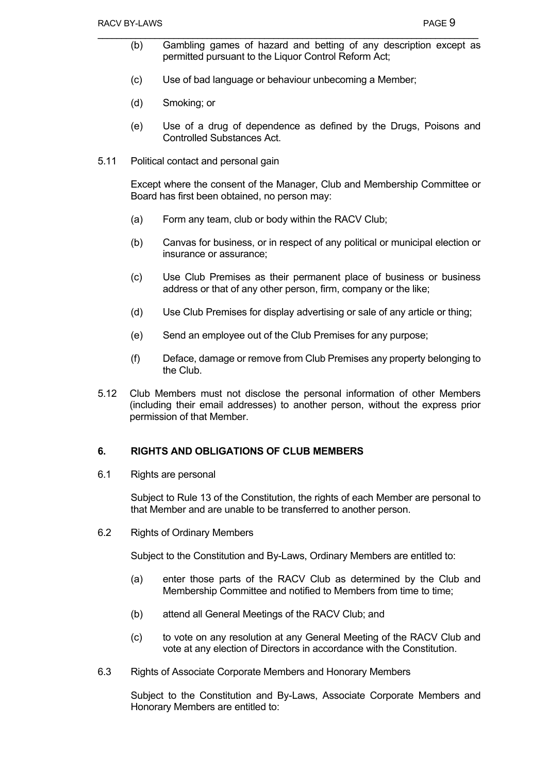- (b) Gambling games of hazard and betting of any description except as permitted pursuant to the Liquor Control Reform Act;
- (c) Use of bad language or behaviour unbecoming a Member;
- (d) Smoking; or
- (e) Use of a drug of dependence as defined by the Drugs, Poisons and Controlled Substances Act.
- 5.11 Political contact and personal gain

Except where the consent of the Manager, Club and Membership Committee or Board has first been obtained, no person may:

- (a) Form any team, club or body within the RACV Club;
- (b) Canvas for business, or in respect of any political or municipal election or insurance or assurance;
- (c) Use Club Premises as their permanent place of business or business address or that of any other person, firm, company or the like;
- (d) Use Club Premises for display advertising or sale of any article or thing;
- (e) Send an employee out of the Club Premises for any purpose;
- (f) Deface, damage or remove from Club Premises any property belonging to the Club.
- 5.12 Club Members must not disclose the personal information of other Members (including their email addresses) to another person, without the express prior permission of that Member.

#### **6. RIGHTS AND OBLIGATIONS OF CLUB MEMBERS**

6.1 Rights are personal

Subject to Rule 13 of the Constitution, the rights of each Member are personal to that Member and are unable to be transferred to another person.

6.2 Rights of Ordinary Members

Subject to the Constitution and By-Laws, Ordinary Members are entitled to:

- (a) enter those parts of the RACV Club as determined by the Club and Membership Committee and notified to Members from time to time;
- (b) attend all General Meetings of the RACV Club; and
- (c) to vote on any resolution at any General Meeting of the RACV Club and vote at any election of Directors in accordance with the Constitution.
- 6.3 Rights of Associate Corporate Members and Honorary Members

Subject to the Constitution and By-Laws, Associate Corporate Members and Honorary Members are entitled to: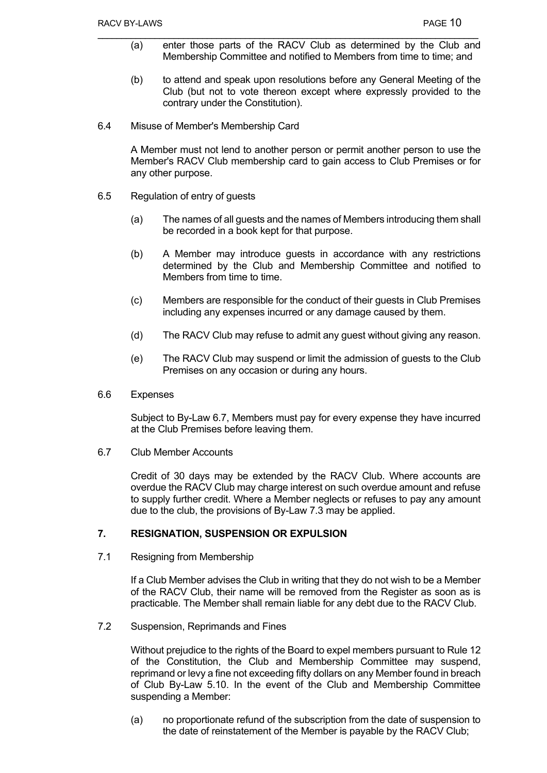- (a) enter those parts of the RACV Club as determined by the Club and Membership Committee and notified to Members from time to time; and
- (b) to attend and speak upon resolutions before any General Meeting of the Club (but not to vote thereon except where expressly provided to the contrary under the Constitution).
- 6.4 Misuse of Member's Membership Card

A Member must not lend to another person or permit another person to use the Member's RACV Club membership card to gain access to Club Premises or for any other purpose.

- 6.5 Regulation of entry of guests
	- (a) The names of all guests and the names of Members introducing them shall be recorded in a book kept for that purpose.
	- (b) A Member may introduce guests in accordance with any restrictions determined by the Club and Membership Committee and notified to Members from time to time.
	- (c) Members are responsible for the conduct of their guests in Club Premises including any expenses incurred or any damage caused by them.
	- (d) The RACV Club may refuse to admit any guest without giving any reason.
	- (e) The RACV Club may suspend or limit the admission of guests to the Club Premises on any occasion or during any hours.
- 6.6 Expenses

Subject to By-Law 6.7, Members must pay for every expense they have incurred at the Club Premises before leaving them.

6.7 Club Member Accounts

Credit of 30 days may be extended by the RACV Club. Where accounts are overdue the RACV Club may charge interest on such overdue amount and refuse to supply further credit. Where a Member neglects or refuses to pay any amount due to the club, the provisions of By-Law 7.3 may be applied.

#### **7. RESIGNATION, SUSPENSION OR EXPULSION**

7.1 Resigning from Membership

If a Club Member advises the Club in writing that they do not wish to be a Member of the RACV Club, their name will be removed from the Register as soon as is practicable. The Member shall remain liable for any debt due to the RACV Club.

7.2 Suspension, Reprimands and Fines

Without prejudice to the rights of the Board to expel members pursuant to Rule 12 of the Constitution, the Club and Membership Committee may suspend, reprimand or levy a fine not exceeding fifty dollars on any Member found in breach of Club By-Law 5.10. In the event of the Club and Membership Committee suspending a Member:

(a) no proportionate refund of the subscription from the date of suspension to the date of reinstatement of the Member is payable by the RACV Club;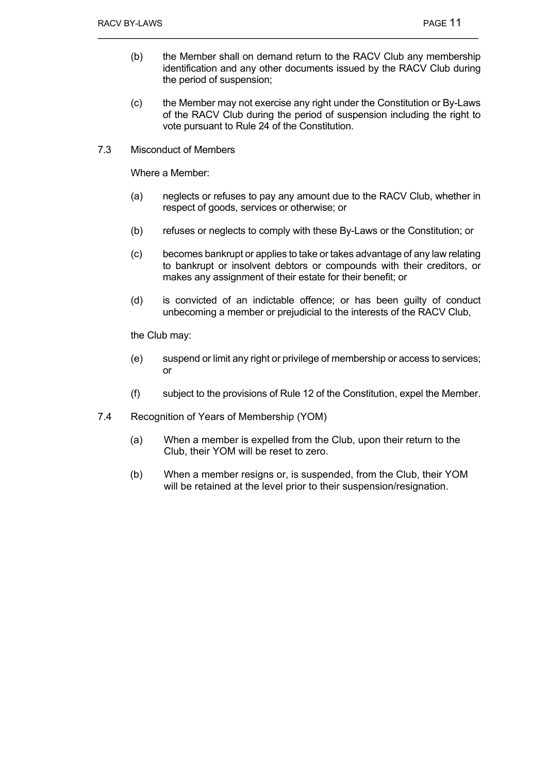- (b) the Member shall on demand return to the RACV Club any membership identification and any other documents issued by the RACV Club during the period of suspension;
- (c) the Member may not exercise any right under the Constitution or By-Laws of the RACV Club during the period of suspension including the right to vote pursuant to Rule 24 of the Constitution.
- 7.3 Misconduct of Members

Where a Member:

- (a) neglects or refuses to pay any amount due to the RACV Club, whether in respect of goods, services or otherwise; or
- (b) refuses or neglects to comply with these By-Laws or the Constitution; or
- (c) becomes bankrupt or applies to take or takes advantage of any law relating to bankrupt or insolvent debtors or compounds with their creditors, or makes any assignment of their estate for their benefit; or
- (d) is convicted of an indictable offence; or has been guilty of conduct unbecoming a member or prejudicial to the interests of the RACV Club,

the Club may:

- (e) suspend or limit any right or privilege of membership or access to services; or
- (f) subject to the provisions of Rule 12 of the Constitution, expel the Member.
- 7.4 Recognition of Years of Membership (YOM)
	- (a) When a member is expelled from the Club, upon their return to the Club, their YOM will be reset to zero.
	- (b) When a member resigns or, is suspended, from the Club, their YOM will be retained at the level prior to their suspension/resignation.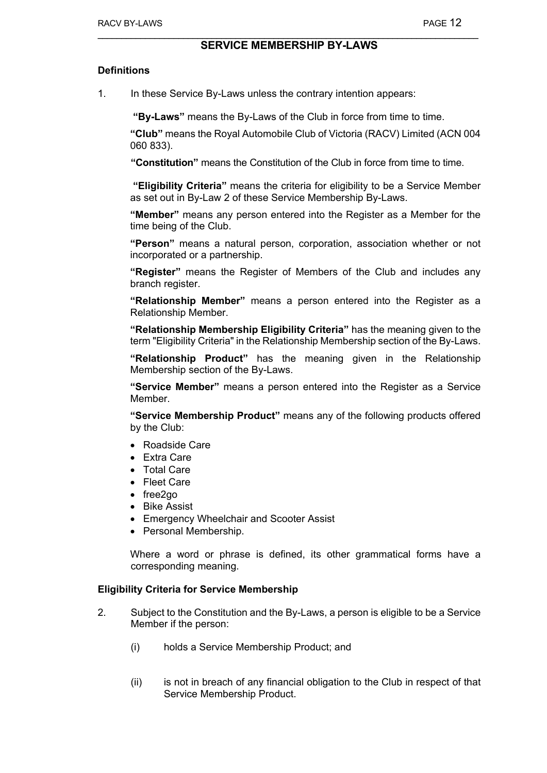## **SERVICE MEMBERSHIP BY-LAWS**

#### **Definitions**

1. In these Service By-Laws unless the contrary intention appears:

 **"By-Laws"** means the By-Laws of the Club in force from time to time.

**"Club"** means the Royal Automobile Club of Victoria (RACV) Limited (ACN 004 060 833).

**"Constitution"** means the Constitution of the Club in force from time to time.

 **"Eligibility Criteria"** means the criteria for eligibility to be a Service Member as set out in By-Law 2 of these Service Membership By-Laws.

**"Member"** means any person entered into the Register as a Member for the time being of the Club.

**"Person"** means a natural person, corporation, association whether or not incorporated or a partnership.

**"Register"** means the Register of Members of the Club and includes any branch register.

**"Relationship Member"** means a person entered into the Register as a Relationship Member.

**"Relationship Membership Eligibility Criteria"** has the meaning given to the term "Eligibility Criteria" in the Relationship Membership section of the By-Laws.

**"Relationship Product"** has the meaning given in the Relationship Membership section of the By-Laws.

**"Service Member"** means a person entered into the Register as a Service Member.

**"Service Membership Product"** means any of the following products offered by the Club:

- Roadside Care
- Extra Care
- Total Care
- Fleet Care
- free2go
- Bike Assist
- Emergency Wheelchair and Scooter Assist
- Personal Membership.

Where a word or phrase is defined, its other grammatical forms have a corresponding meaning.

#### **Eligibility Criteria for Service Membership**

- 2. Subject to the Constitution and the By-Laws, a person is eligible to be a Service Member if the person:
	- (i) holds a Service Membership Product; and
	- (ii) is not in breach of any financial obligation to the Club in respect of that Service Membership Product.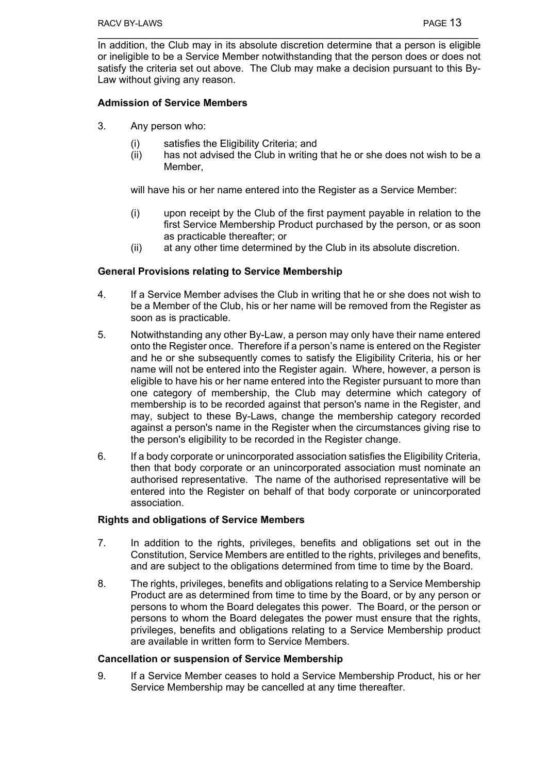In addition, the Club may in its absolute discretion determine that a person is eligible or ineligible to be a Service Member notwithstanding that the person does or does not satisfy the criteria set out above. The Club may make a decision pursuant to this By-Law without giving any reason.

#### **Admission of Service Members**

- 3. Any person who:
	- (i) satisfies the Eligibility Criteria; and
	- (ii) has not advised the Club in writing that he or she does not wish to be a Member,

will have his or her name entered into the Register as a Service Member:

- (i) upon receipt by the Club of the first payment payable in relation to the first Service Membership Product purchased by the person, or as soon as practicable thereafter; or
- (ii) at any other time determined by the Club in its absolute discretion.

#### **General Provisions relating to Service Membership**

- 4. If a Service Member advises the Club in writing that he or she does not wish to be a Member of the Club, his or her name will be removed from the Register as soon as is practicable.
- 5. Notwithstanding any other By-Law, a person may only have their name entered onto the Register once. Therefore if a person's name is entered on the Register and he or she subsequently comes to satisfy the Eligibility Criteria, his or her name will not be entered into the Register again. Where, however, a person is eligible to have his or her name entered into the Register pursuant to more than one category of membership, the Club may determine which category of membership is to be recorded against that person's name in the Register, and may, subject to these By-Laws, change the membership category recorded against a person's name in the Register when the circumstances giving rise to the person's eligibility to be recorded in the Register change.
- 6. If a body corporate or unincorporated association satisfies the Eligibility Criteria, then that body corporate or an unincorporated association must nominate an authorised representative. The name of the authorised representative will be entered into the Register on behalf of that body corporate or unincorporated association.

#### **Rights and obligations of Service Members**

- 7. In addition to the rights, privileges, benefits and obligations set out in the Constitution, Service Members are entitled to the rights, privileges and benefits, and are subject to the obligations determined from time to time by the Board.
- 8. The rights, privileges, benefits and obligations relating to a Service Membership Product are as determined from time to time by the Board, or by any person or persons to whom the Board delegates this power. The Board, or the person or persons to whom the Board delegates the power must ensure that the rights, privileges, benefits and obligations relating to a Service Membership product are available in written form to Service Members.

#### **Cancellation or suspension of Service Membership**

9. If a Service Member ceases to hold a Service Membership Product, his or her Service Membership may be cancelled at any time thereafter.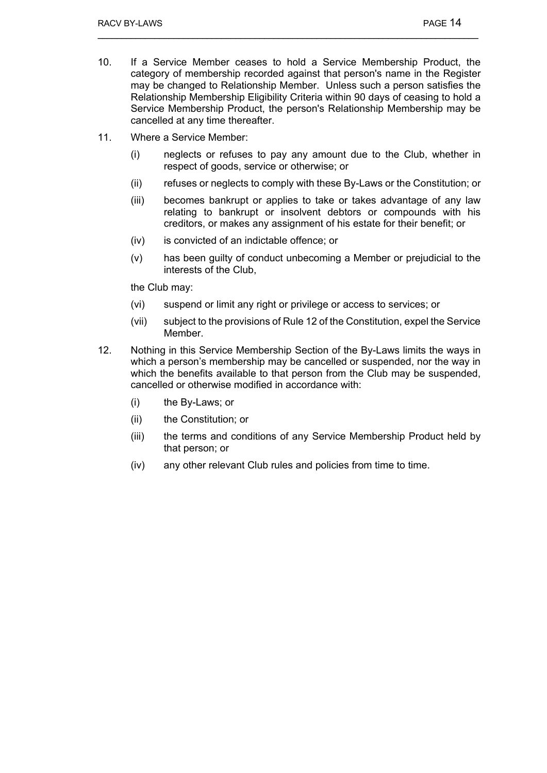- 10. If a Service Member ceases to hold a Service Membership Product, the category of membership recorded against that person's name in the Register may be changed to Relationship Member. Unless such a person satisfies the Relationship Membership Eligibility Criteria within 90 days of ceasing to hold a Service Membership Product, the person's Relationship Membership may be cancelled at any time thereafter.
- 11. Where a Service Member:
	- (i) neglects or refuses to pay any amount due to the Club, whether in respect of goods, service or otherwise; or
	- (ii) refuses or neglects to comply with these By-Laws or the Constitution; or
	- (iii) becomes bankrupt or applies to take or takes advantage of any law relating to bankrupt or insolvent debtors or compounds with his creditors, or makes any assignment of his estate for their benefit; or
	- (iv) is convicted of an indictable offence; or
	- (v) has been guilty of conduct unbecoming a Member or prejudicial to the interests of the Club,

the Club may:

- (vi) suspend or limit any right or privilege or access to services; or
- (vii) subject to the provisions of Rule 12 of the Constitution, expel the Service Member.
- 12. Nothing in this Service Membership Section of the By-Laws limits the ways in which a person's membership may be cancelled or suspended, nor the way in which the benefits available to that person from the Club may be suspended, cancelled or otherwise modified in accordance with:
	- (i) the By-Laws; or
	- (ii) the Constitution; or
	- (iii) the terms and conditions of any Service Membership Product held by that person; or
	- (iv) any other relevant Club rules and policies from time to time.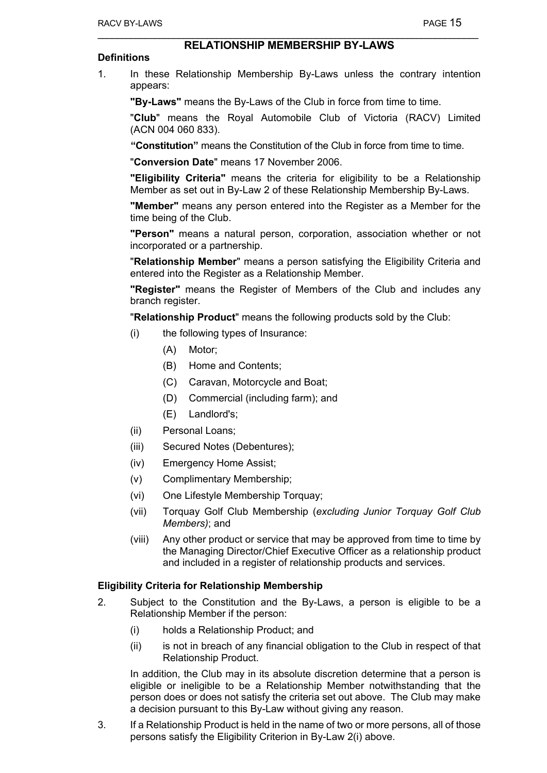## **RELATIONSHIP MEMBERSHIP BY-LAWS**

#### **Definitions**

1. In these Relationship Membership By-Laws unless the contrary intention appears:

**"By-Laws"** means the By-Laws of the Club in force from time to time.

"**Club**" means the Royal Automobile Club of Victoria (RACV) Limited (ACN 004 060 833).

**"Constitution"** means the Constitution of the Club in force from time to time.

"**Conversion Date**" means 17 November 2006.

**"Eligibility Criteria"** means the criteria for eligibility to be a Relationship Member as set out in By-Law 2 of these Relationship Membership By-Laws.

**"Member"** means any person entered into the Register as a Member for the time being of the Club.

**"Person"** means a natural person, corporation, association whether or not incorporated or a partnership.

"**Relationship Member**" means a person satisfying the Eligibility Criteria and entered into the Register as a Relationship Member.

**"Register"** means the Register of Members of the Club and includes any branch register.

"**Relationship Product**" means the following products sold by the Club:

- (i) the following types of Insurance:
	- (A) Motor;
	- (B) Home and Contents;
	- (C) Caravan, Motorcycle and Boat;
	- (D) Commercial (including farm); and
	- (E) Landlord's;
- (ii) Personal Loans;
- (iii) Secured Notes (Debentures);
- (iv) Emergency Home Assist;
- (v) Complimentary Membership;
- (vi) One Lifestyle Membership Torquay;
- (vii) Torquay Golf Club Membership (*excluding Junior Torquay Golf Club Members)*; and
- (viii) Any other product or service that may be approved from time to time by the Managing Director/Chief Executive Officer as a relationship product and included in a register of relationship products and services.

#### **Eligibility Criteria for Relationship Membership**

- 2. Subject to the Constitution and the By-Laws, a person is eligible to be a Relationship Member if the person:
	- (i) holds a Relationship Product; and
	- (ii) is not in breach of any financial obligation to the Club in respect of that Relationship Product.

In addition, the Club may in its absolute discretion determine that a person is eligible or ineligible to be a Relationship Member notwithstanding that the person does or does not satisfy the criteria set out above. The Club may make a decision pursuant to this By-Law without giving any reason.

3. If a Relationship Product is held in the name of two or more persons, all of those persons satisfy the Eligibility Criterion in By-Law 2(i) above.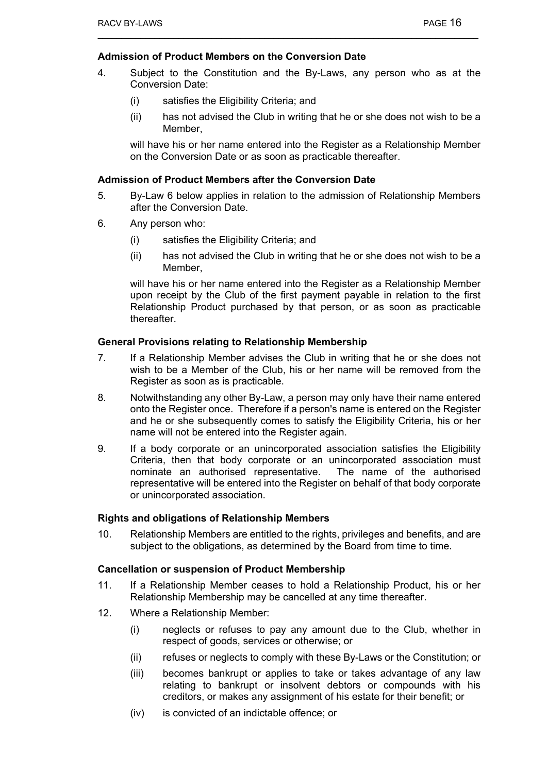## **Admission of Product Members on the Conversion Date**

- 4. Subject to the Constitution and the By-Laws, any person who as at the Conversion Date:
	- (i) satisfies the Eligibility Criteria; and
	- (ii) has not advised the Club in writing that he or she does not wish to be a Member,

will have his or her name entered into the Register as a Relationship Member on the Conversion Date or as soon as practicable thereafter.

#### **Admission of Product Members after the Conversion Date**

- 5. By-Law 6 below applies in relation to the admission of Relationship Members after the Conversion Date.
- 6. Any person who:
	- (i) satisfies the Eligibility Criteria; and
	- (ii) has not advised the Club in writing that he or she does not wish to be a Member,

will have his or her name entered into the Register as a Relationship Member upon receipt by the Club of the first payment payable in relation to the first Relationship Product purchased by that person, or as soon as practicable thereafter.

#### **General Provisions relating to Relationship Membership**

- 7. If a Relationship Member advises the Club in writing that he or she does not wish to be a Member of the Club, his or her name will be removed from the Register as soon as is practicable.
- 8. Notwithstanding any other By-Law, a person may only have their name entered onto the Register once. Therefore if a person's name is entered on the Register and he or she subsequently comes to satisfy the Eligibility Criteria, his or her name will not be entered into the Register again.
- 9. If a body corporate or an unincorporated association satisfies the Eligibility Criteria, then that body corporate or an unincorporated association must nominate an authorised representative. The name of the authorised representative will be entered into the Register on behalf of that body corporate or unincorporated association.

#### **Rights and obligations of Relationship Members**

10. Relationship Members are entitled to the rights, privileges and benefits, and are subject to the obligations, as determined by the Board from time to time.

#### **Cancellation or suspension of Product Membership**

- 11. If a Relationship Member ceases to hold a Relationship Product, his or her Relationship Membership may be cancelled at any time thereafter.
- 12. Where a Relationship Member:
	- (i) neglects or refuses to pay any amount due to the Club, whether in respect of goods, services or otherwise; or
	- (ii) refuses or neglects to comply with these By-Laws or the Constitution; or
	- (iii) becomes bankrupt or applies to take or takes advantage of any law relating to bankrupt or insolvent debtors or compounds with his creditors, or makes any assignment of his estate for their benefit; or
	- (iv) is convicted of an indictable offence; or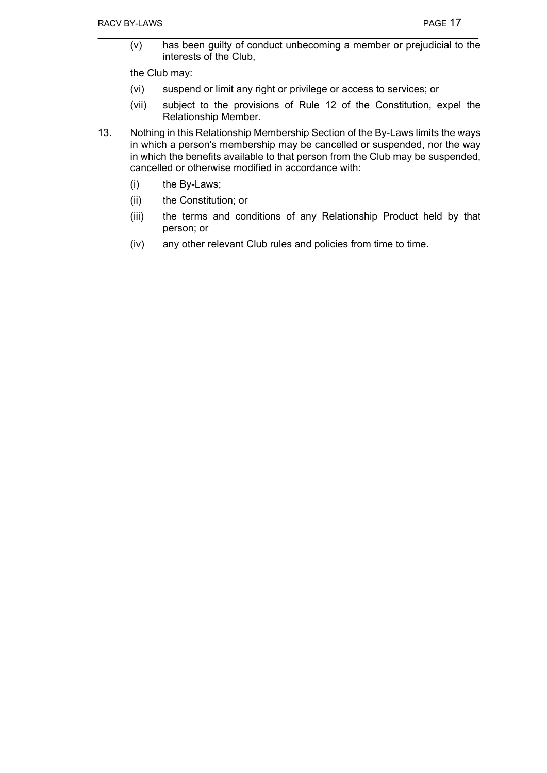(v) has been guilty of conduct unbecoming a member or prejudicial to the interests of the Club,

the Club may:

- (vi) suspend or limit any right or privilege or access to services; or
- (vii) subject to the provisions of Rule 12 of the Constitution, expel the Relationship Member.
- 13. Nothing in this Relationship Membership Section of the By-Laws limits the ways in which a person's membership may be cancelled or suspended, nor the way in which the benefits available to that person from the Club may be suspended, cancelled or otherwise modified in accordance with:
	- (i) the By-Laws;
	- (ii) the Constitution; or
	- (iii) the terms and conditions of any Relationship Product held by that person; or
	- (iv) any other relevant Club rules and policies from time to time.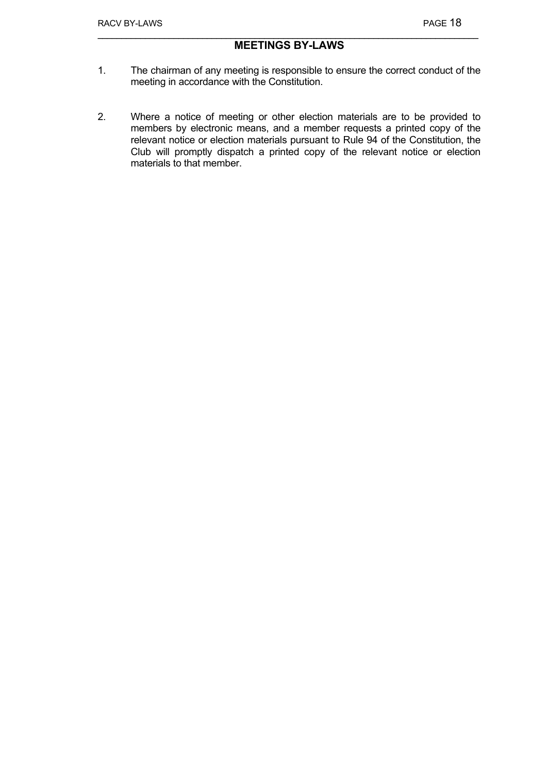## **MEETINGS BY-LAWS**

- 1. The chairman of any meeting is responsible to ensure the correct conduct of the meeting in accordance with the Constitution.
- 2. Where a notice of meeting or other election materials are to be provided to members by electronic means, and a member requests a printed copy of the relevant notice or election materials pursuant to Rule 94 of the Constitution, the Club will promptly dispatch a printed copy of the relevant notice or election materials to that member.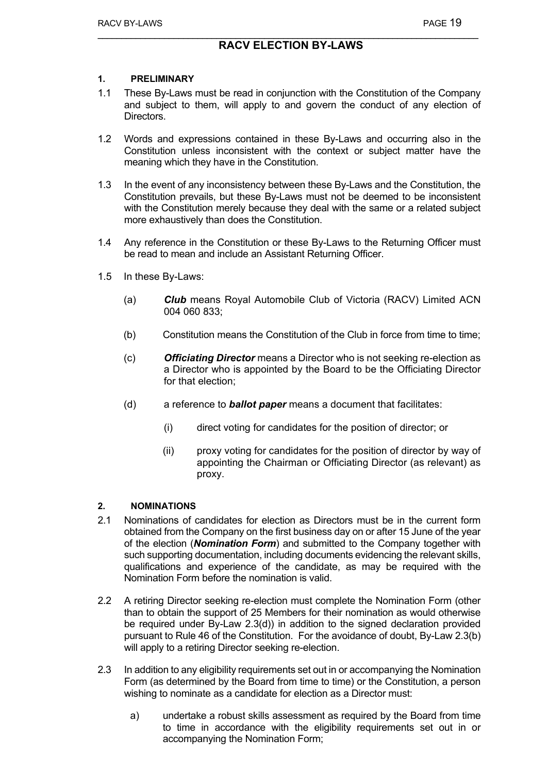## **1. PRELIMINARY**

- 1.1 These By-Laws must be read in conjunction with the Constitution of the Company and subject to them, will apply to and govern the conduct of any election of Directors.
- 1.2 Words and expressions contained in these By-Laws and occurring also in the Constitution unless inconsistent with the context or subject matter have the meaning which they have in the Constitution.
- 1.3 In the event of any inconsistency between these By-Laws and the Constitution, the Constitution prevails, but these By-Laws must not be deemed to be inconsistent with the Constitution merely because they deal with the same or a related subject more exhaustively than does the Constitution.
- 1.4 Any reference in the Constitution or these By-Laws to the Returning Officer must be read to mean and include an Assistant Returning Officer.
- 1.5 In these By-Laws:
	- (a) *Club* means Royal Automobile Club of Victoria (RACV) Limited ACN 004 060 833;
	- (b) Constitution means the Constitution of the Club in force from time to time;
	- (c) *Officiating Director* means a Director who is not seeking re-election as a Director who is appointed by the Board to be the Officiating Director for that election;
	- (d) a reference to *ballot paper* means a document that facilitates:
		- (i) direct voting for candidates for the position of director; or
		- (ii) proxy voting for candidates for the position of director by way of appointing the Chairman or Officiating Director (as relevant) as proxy.

## **2. NOMINATIONS**

- 2.1 Nominations of candidates for election as Directors must be in the current form obtained from the Company on the first business day on or after 15 June of the year of the election (*Nomination Form*) and submitted to the Company together with such supporting documentation, including documents evidencing the relevant skills, qualifications and experience of the candidate, as may be required with the Nomination Form before the nomination is valid.
- 2.2 A retiring Director seeking re-election must complete the Nomination Form (other than to obtain the support of 25 Members for their nomination as would otherwise be required under By-Law 2.3(d)) in addition to the signed declaration provided pursuant to Rule 46 of the Constitution. For the avoidance of doubt, By-Law 2.3(b) will apply to a retiring Director seeking re-election.
- 2.3 In addition to any eligibility requirements set out in or accompanying the Nomination Form (as determined by the Board from time to time) or the Constitution, a person wishing to nominate as a candidate for election as a Director must:
	- a) undertake a robust skills assessment as required by the Board from time to time in accordance with the eligibility requirements set out in or accompanying the Nomination Form;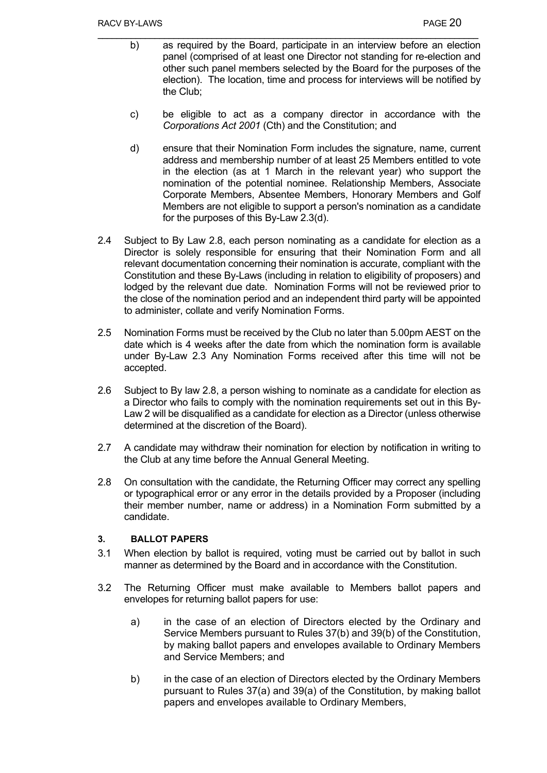- b) as required by the Board, participate in an interview before an election panel (comprised of at least one Director not standing for re-election and other such panel members selected by the Board for the purposes of the election). The location, time and process for interviews will be notified by the Club;
- c) be eligible to act as a company director in accordance with the *Corporations Act 2001* (Cth) and the Constitution; and
- d) ensure that their Nomination Form includes the signature, name, current address and membership number of at least 25 Members entitled to vote in the election (as at 1 March in the relevant year) who support the nomination of the potential nominee. Relationship Members, Associate Corporate Members, Absentee Members, Honorary Members and Golf Members are not eligible to support a person's nomination as a candidate for the purposes of this By-Law 2.3(d).
- 2.4 Subject to By Law 2.8, each person nominating as a candidate for election as a Director is solely responsible for ensuring that their Nomination Form and all relevant documentation concerning their nomination is accurate, compliant with the Constitution and these By-Laws (including in relation to eligibility of proposers) and lodged by the relevant due date. Nomination Forms will not be reviewed prior to the close of the nomination period and an independent third party will be appointed to administer, collate and verify Nomination Forms.
- 2.5 Nomination Forms must be received by the Club no later than 5.00pm AEST on the date which is 4 weeks after the date from which the nomination form is available under By-Law 2.3 Any Nomination Forms received after this time will not be accepted.
- 2.6 Subject to By law 2.8, a person wishing to nominate as a candidate for election as a Director who fails to comply with the nomination requirements set out in this By-Law 2 will be disqualified as a candidate for election as a Director (unless otherwise determined at the discretion of the Board).
- 2.7 A candidate may withdraw their nomination for election by notification in writing to the Club at any time before the Annual General Meeting.
- 2.8 On consultation with the candidate, the Returning Officer may correct any spelling or typographical error or any error in the details provided by a Proposer (including their member number, name or address) in a Nomination Form submitted by a candidate.

## **3. BALLOT PAPERS**

- 3.1 When election by ballot is required, voting must be carried out by ballot in such manner as determined by the Board and in accordance with the Constitution.
- 3.2 The Returning Officer must make available to Members ballot papers and envelopes for returning ballot papers for use:
	- a) in the case of an election of Directors elected by the Ordinary and Service Members pursuant to Rules 37(b) and 39(b) of the Constitution, by making ballot papers and envelopes available to Ordinary Members and Service Members; and
	- b) in the case of an election of Directors elected by the Ordinary Members pursuant to Rules 37(a) and 39(a) of the Constitution, by making ballot papers and envelopes available to Ordinary Members,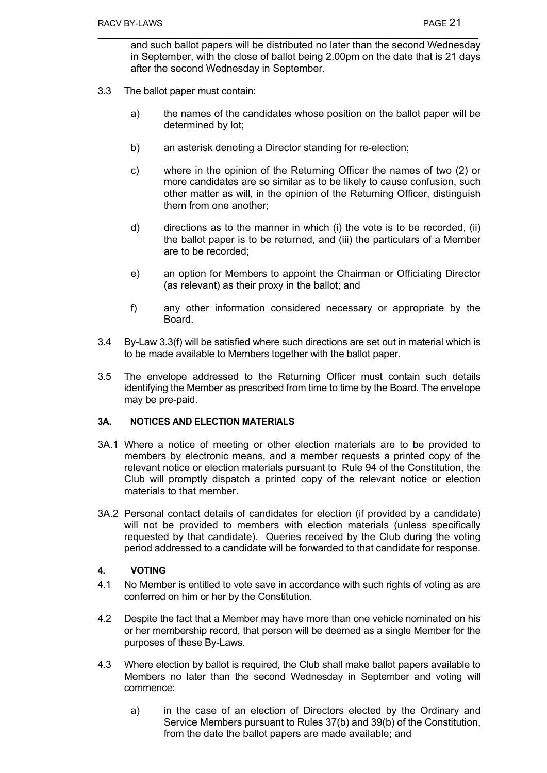and such ballot papers will be distributed no later than the second Wednesday in September, with the close of ballot being 2.00pm on the date that is 21 days after the second Wednesday in September.

- 3.3 The ballot paper must contain:
	- a) the names of the candidates whose position on the ballot paper will be determined by lot;
	- b) an asterisk denoting a Director standing for re-election;
	- c) where in the opinion of the Returning Officer the names of two (2) or more candidates are so similar as to be likely to cause confusion, such other matter as will, in the opinion of the Returning Officer, distinguish them from one another;
	- d) directions as to the manner in which (i) the vote is to be recorded, (ii) the ballot paper is to be returned, and (iii) the particulars of a Member are to be recorded;
	- e) an option for Members to appoint the Chairman or Officiating Director (as relevant) as their proxy in the ballot; and
	- f) any other information considered necessary or appropriate by the Board.
- 3.4 By-Law 3.3(f) will be satisfied where such directions are set out in material which is to be made available to Members together with the ballot paper.
- 3.5 The envelope addressed to the Returning Officer must contain such details identifying the Member as prescribed from time to time by the Board. The envelope may be pre-paid.

#### **3A. NOTICES AND ELECTION MATERIALS**

- 3A.1 Where a notice of meeting or other election materials are to be provided to members by electronic means, and a member requests a printed copy of the relevant notice or election materials pursuant to Rule 94 of the Constitution, the Club will promptly dispatch a printed copy of the relevant notice or election materials to that member.
- 3A.2 Personal contact details of candidates for election (if provided by a candidate) will not be provided to members with election materials (unless specifically requested by that candidate). Queries received by the Club during the voting period addressed to a candidate will be forwarded to that candidate for response.

## **4. VOTING**

- 4.1 No Member is entitled to vote save in accordance with such rights of voting as are conferred on him or her by the Constitution.
- 4.2 Despite the fact that a Member may have more than one vehicle nominated on his or her membership record, that person will be deemed as a single Member for the purposes of these By-Laws.
- 4.3 Where election by ballot is required, the Club shall make ballot papers available to Members no later than the second Wednesday in September and voting will commence:
	- a) in the case of an election of Directors elected by the Ordinary and Service Members pursuant to Rules 37(b) and 39(b) of the Constitution, from the date the ballot papers are made available; and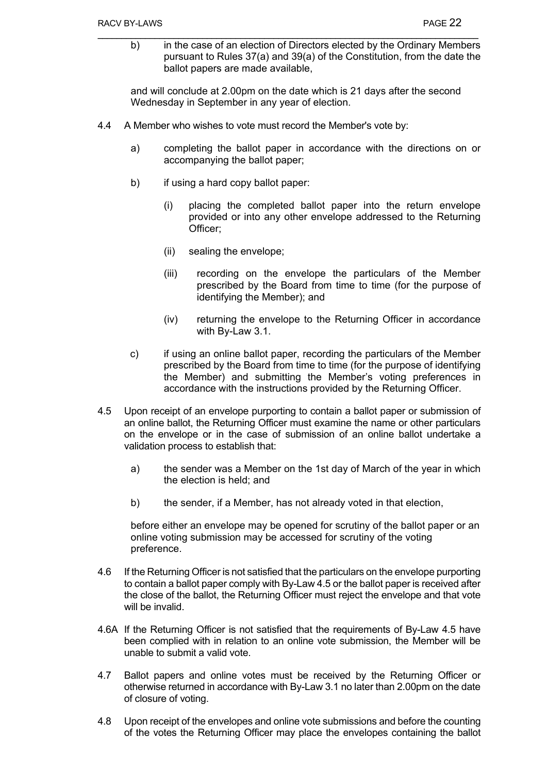b) in the case of an election of Directors elected by the Ordinary Members pursuant to Rules 37(a) and 39(a) of the Constitution, from the date the ballot papers are made available,

and will conclude at 2.00pm on the date which is 21 days after the second Wednesday in September in any year of election.

- 4.4 A Member who wishes to vote must record the Member's vote by:
	- a) completing the ballot paper in accordance with the directions on or accompanying the ballot paper;
	- b) if using a hard copy ballot paper:
		- (i) placing the completed ballot paper into the return envelope provided or into any other envelope addressed to the Returning Officer;
		- (ii) sealing the envelope;
		- (iii) recording on the envelope the particulars of the Member prescribed by the Board from time to time (for the purpose of identifying the Member); and
		- (iv) returning the envelope to the Returning Officer in accordance with By-Law 3.1.
	- c) if using an online ballot paper, recording the particulars of the Member prescribed by the Board from time to time (for the purpose of identifying the Member) and submitting the Member's voting preferences in accordance with the instructions provided by the Returning Officer.
- 4.5 Upon receipt of an envelope purporting to contain a ballot paper or submission of an online ballot, the Returning Officer must examine the name or other particulars on the envelope or in the case of submission of an online ballot undertake a validation process to establish that:
	- a) the sender was a Member on the 1st day of March of the year in which the election is held; and
	- b) the sender, if a Member, has not already voted in that election,

before either an envelope may be opened for scrutiny of the ballot paper or an online voting submission may be accessed for scrutiny of the voting preference.

- 4.6 If the Returning Officer is not satisfied that the particulars on the envelope purporting to contain a ballot paper comply with By-Law 4.5 or the ballot paper is received after the close of the ballot, the Returning Officer must reject the envelope and that vote will be invalid.
- 4.6A If the Returning Officer is not satisfied that the requirements of By-Law 4.5 have been complied with in relation to an online vote submission, the Member will be unable to submit a valid vote.
- 4.7 Ballot papers and online votes must be received by the Returning Officer or otherwise returned in accordance with By-Law 3.1 no later than 2.00pm on the date of closure of voting.
- 4.8 Upon receipt of the envelopes and online vote submissions and before the counting of the votes the Returning Officer may place the envelopes containing the ballot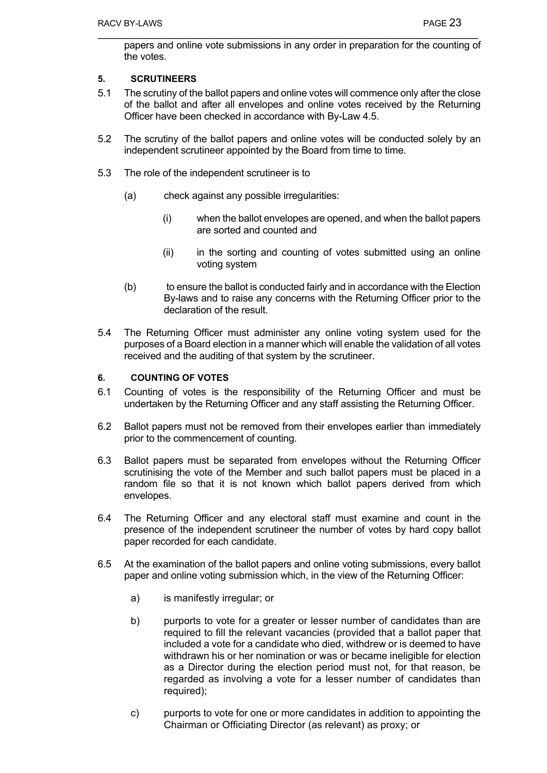papers and online vote submissions in any order in preparation for the counting of the votes.

## **5. SCRUTINEERS**

- 5.1 The scrutiny of the ballot papers and online votes will commence only after the close of the ballot and after all envelopes and online votes received by the Returning Officer have been checked in accordance with By-Law 4.5.
- 5.2 The scrutiny of the ballot papers and online votes will be conducted solely by an independent scrutineer appointed by the Board from time to time.
- 5.3 The role of the independent scrutineer is to
	- (a) check against any possible irregularities:
		- (i) when the ballot envelopes are opened, and when the ballot papers are sorted and counted and
		- (ii) in the sorting and counting of votes submitted using an online voting system
	- (b) to ensure the ballot is conducted fairly and in accordance with the Election By-laws and to raise any concerns with the Returning Officer prior to the declaration of the result.
- 5.4 The Returning Officer must administer any online voting system used for the purposes of a Board election in a manner which will enable the validation of all votes received and the auditing of that system by the scrutineer.

#### **6. COUNTING OF VOTES**

- 6.1 Counting of votes is the responsibility of the Returning Officer and must be undertaken by the Returning Officer and any staff assisting the Returning Officer.
- 6.2 Ballot papers must not be removed from their envelopes earlier than immediately prior to the commencement of counting.
- 6.3 Ballot papers must be separated from envelopes without the Returning Officer scrutinising the vote of the Member and such ballot papers must be placed in a random file so that it is not known which ballot papers derived from which envelopes.
- 6.4 The Returning Officer and any electoral staff must examine and count in the presence of the independent scrutineer the number of votes by hard copy ballot paper recorded for each candidate.
- 6.5 At the examination of the ballot papers and online voting submissions, every ballot paper and online voting submission which, in the view of the Returning Officer:
	- a) is manifestly irregular; or
	- b) purports to vote for a greater or lesser number of candidates than are required to fill the relevant vacancies (provided that a ballot paper that included a vote for a candidate who died, withdrew or is deemed to have withdrawn his or her nomination or was or became ineligible for election as a Director during the election period must not, for that reason, be regarded as involving a vote for a lesser number of candidates than required):
	- c) purports to vote for one or more candidates in addition to appointing the Chairman or Officiating Director (as relevant) as proxy; or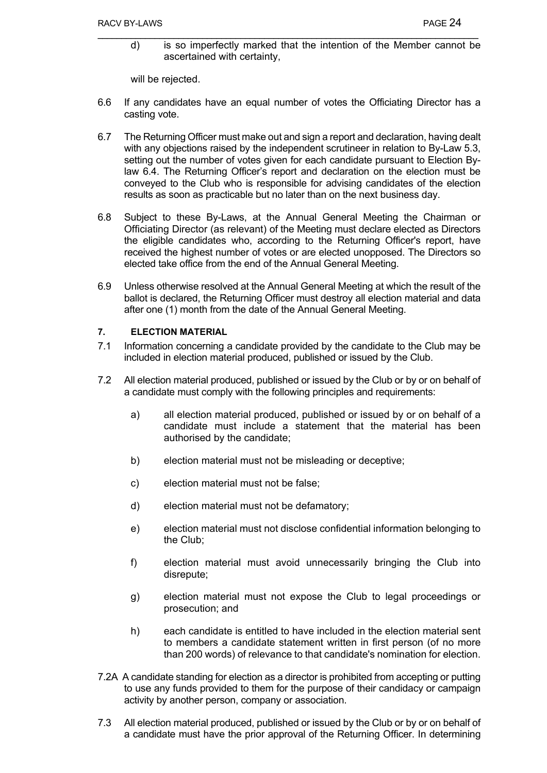d) is so imperfectly marked that the intention of the Member cannot be ascertained with certainty,

will be rejected.

- 6.6 If any candidates have an equal number of votes the Officiating Director has a casting vote.
- 6.7 The Returning Officer must make out and sign a report and declaration, having dealt with any objections raised by the independent scrutineer in relation to By-Law 5.3, setting out the number of votes given for each candidate pursuant to Election Bylaw 6.4. The Returning Officer's report and declaration on the election must be conveyed to the Club who is responsible for advising candidates of the election results as soon as practicable but no later than on the next business day.
- 6.8 Subject to these By-Laws, at the Annual General Meeting the Chairman or Officiating Director (as relevant) of the Meeting must declare elected as Directors the eligible candidates who, according to the Returning Officer's report, have received the highest number of votes or are elected unopposed. The Directors so elected take office from the end of the Annual General Meeting.
- 6.9 Unless otherwise resolved at the Annual General Meeting at which the result of the ballot is declared, the Returning Officer must destroy all election material and data after one (1) month from the date of the Annual General Meeting.

#### **7. ELECTION MATERIAL**

- 7.1 Information concerning a candidate provided by the candidate to the Club may be included in election material produced, published or issued by the Club.
- 7.2 All election material produced, published or issued by the Club or by or on behalf of a candidate must comply with the following principles and requirements:
	- a) all election material produced, published or issued by or on behalf of a candidate must include a statement that the material has been authorised by the candidate;
	- b) election material must not be misleading or deceptive;
	- c) election material must not be false;
	- d) election material must not be defamatory;
	- e) election material must not disclose confidential information belonging to the Club;
	- f) election material must avoid unnecessarily bringing the Club into disrepute;
	- g) election material must not expose the Club to legal proceedings or prosecution; and
	- h) each candidate is entitled to have included in the election material sent to members a candidate statement written in first person (of no more than 200 words) of relevance to that candidate's nomination for election.
- 7.2A A candidate standing for election as a director is prohibited from accepting or putting to use any funds provided to them for the purpose of their candidacy or campaign activity by another person, company or association.
- 7.3 All election material produced, published or issued by the Club or by or on behalf of a candidate must have the prior approval of the Returning Officer. In determining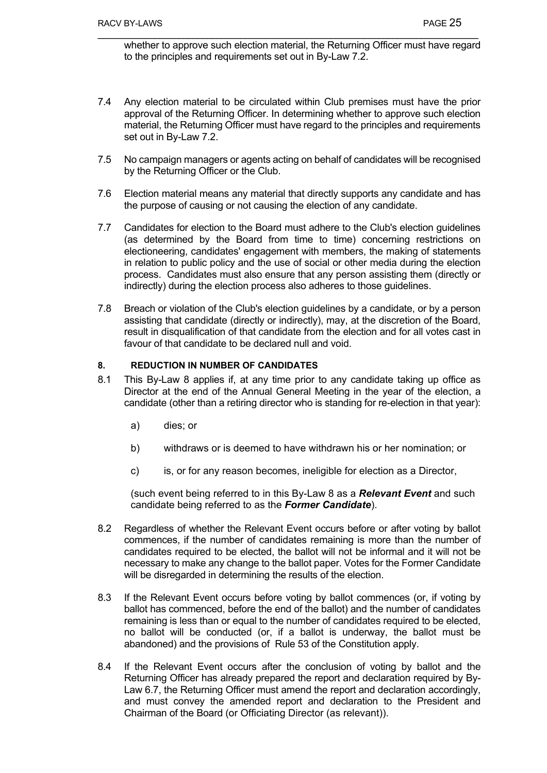whether to approve such election material, the Returning Officer must have regard to the principles and requirements set out in By-Law 7.2.

- 7.4 Any election material to be circulated within Club premises must have the prior approval of the Returning Officer. In determining whether to approve such election material, the Returning Officer must have regard to the principles and requirements set out in By-Law 7.2.
- 7.5 No campaign managers or agents acting on behalf of candidates will be recognised by the Returning Officer or the Club.
- 7.6 Election material means any material that directly supports any candidate and has the purpose of causing or not causing the election of any candidate.
- 7.7 Candidates for election to the Board must adhere to the Club's election guidelines (as determined by the Board from time to time) concerning restrictions on electioneering, candidates' engagement with members, the making of statements in relation to public policy and the use of social or other media during the election process. Candidates must also ensure that any person assisting them (directly or indirectly) during the election process also adheres to those guidelines.
- 7.8 Breach or violation of the Club's election guidelines by a candidate, or by a person assisting that candidate (directly or indirectly), may, at the discretion of the Board, result in disqualification of that candidate from the election and for all votes cast in favour of that candidate to be declared null and void.

## **8. REDUCTION IN NUMBER OF CANDIDATES**

- 8.1 This By-Law 8 applies if, at any time prior to any candidate taking up office as Director at the end of the Annual General Meeting in the year of the election, a candidate (other than a retiring director who is standing for re-election in that year):
	- a) dies; or
	- b) withdraws or is deemed to have withdrawn his or her nomination; or
	- c) is, or for any reason becomes, ineligible for election as a Director,

(such event being referred to in this By-Law 8 as a *Relevant Event* and such candidate being referred to as the *Former Candidate*).

- 8.2 Regardless of whether the Relevant Event occurs before or after voting by ballot commences, if the number of candidates remaining is more than the number of candidates required to be elected, the ballot will not be informal and it will not be necessary to make any change to the ballot paper. Votes for the Former Candidate will be disregarded in determining the results of the election.
- 8.3 If the Relevant Event occurs before voting by ballot commences (or, if voting by ballot has commenced, before the end of the ballot) and the number of candidates remaining is less than or equal to the number of candidates required to be elected, no ballot will be conducted (or, if a ballot is underway, the ballot must be abandoned) and the provisions of Rule 53 of the Constitution apply.
- 8.4 If the Relevant Event occurs after the conclusion of voting by ballot and the Returning Officer has already prepared the report and declaration required by By-Law 6.7, the Returning Officer must amend the report and declaration accordingly, and must convey the amended report and declaration to the President and Chairman of the Board (or Officiating Director (as relevant)).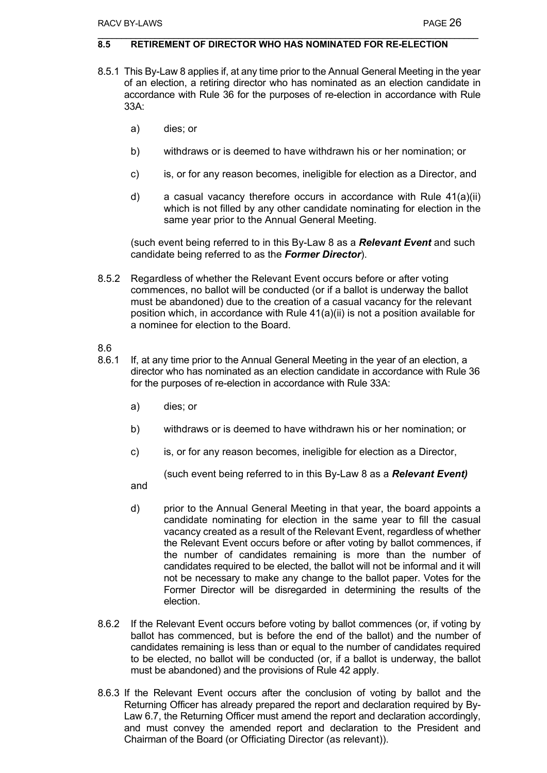#### **8.5 RETIREMENT OF DIRECTOR WHO HAS NOMINATED FOR RE-ELECTION**

- 8.5.1 This By-Law 8 applies if, at any time prior to the Annual General Meeting in the year of an election, a retiring director who has nominated as an election candidate in accordance with Rule 36 for the purposes of re-election in accordance with Rule 33A:
	- a) dies; or
	- b) withdraws or is deemed to have withdrawn his or her nomination; or
	- c) is, or for any reason becomes, ineligible for election as a Director, and
	- d) a casual vacancy therefore occurs in accordance with Rule 41(a)(ii) which is not filled by any other candidate nominating for election in the same year prior to the Annual General Meeting.

(such event being referred to in this By-Law 8 as a *Relevant Event* and such candidate being referred to as the *Former Director*).

8.5.2 Regardless of whether the Relevant Event occurs before or after voting commences, no ballot will be conducted (or if a ballot is underway the ballot must be abandoned) due to the creation of a casual vacancy for the relevant position which, in accordance with Rule 41(a)(ii) is not a position available for a nominee for election to the Board.

#### 8.6

- 8.6.1 If, at any time prior to the Annual General Meeting in the year of an election, a director who has nominated as an election candidate in accordance with Rule 36 for the purposes of re-election in accordance with Rule 33A:
	- a) dies; or
	- b) withdraws or is deemed to have withdrawn his or her nomination; or
	- c) is, or for any reason becomes, ineligible for election as a Director,

(such event being referred to in this By-Law 8 as a *Relevant Event)*

and

- d) prior to the Annual General Meeting in that year, the board appoints a candidate nominating for election in the same year to fill the casual vacancy created as a result of the Relevant Event, regardless of whether the Relevant Event occurs before or after voting by ballot commences, if the number of candidates remaining is more than the number of candidates required to be elected, the ballot will not be informal and it will not be necessary to make any change to the ballot paper. Votes for the Former Director will be disregarded in determining the results of the election.
- 8.6.2 If the Relevant Event occurs before voting by ballot commences (or, if voting by ballot has commenced, but is before the end of the ballot) and the number of candidates remaining is less than or equal to the number of candidates required to be elected, no ballot will be conducted (or, if a ballot is underway, the ballot must be abandoned) and the provisions of Rule 42 apply.
- 8.6.3 If the Relevant Event occurs after the conclusion of voting by ballot and the Returning Officer has already prepared the report and declaration required by By-Law 6.7, the Returning Officer must amend the report and declaration accordingly, and must convey the amended report and declaration to the President and Chairman of the Board (or Officiating Director (as relevant)).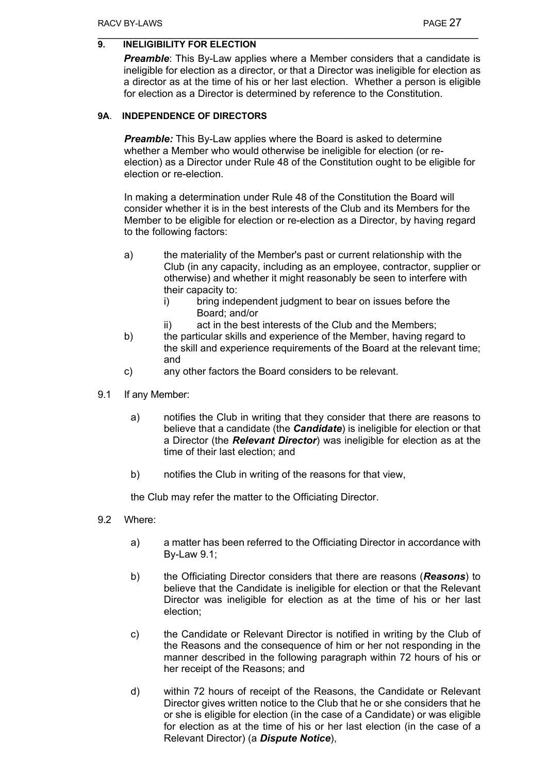## **9. INELIGIBILITY FOR ELECTION**

*Preamble*: This By-Law applies where a Member considers that a candidate is ineligible for election as a director, or that a Director was ineligible for election as a director as at the time of his or her last election. Whether a person is eligible for election as a Director is determined by reference to the Constitution.

#### **9A**. **INDEPENDENCE OF DIRECTORS**

*Preamble:* This By-Law applies where the Board is asked to determine whether a Member who would otherwise be ineligible for election (or reelection) as a Director under Rule 48 of the Constitution ought to be eligible for election or re-election.

In making a determination under Rule 48 of the Constitution the Board will consider whether it is in the best interests of the Club and its Members for the Member to be eligible for election or re-election as a Director, by having regard to the following factors:

- a) the materiality of the Member's past or current relationship with the Club (in any capacity, including as an employee, contractor, supplier or otherwise) and whether it might reasonably be seen to interfere with their capacity to:
	- i) bring independent judgment to bear on issues before the Board; and/or
	- ii) act in the best interests of the Club and the Members;
- b) the particular skills and experience of the Member, having regard to the skill and experience requirements of the Board at the relevant time; and
- c) any other factors the Board considers to be relevant.
- 9.1 If any Member:
	- a) notifies the Club in writing that they consider that there are reasons to believe that a candidate (the *Candidate*) is ineligible for election or that a Director (the *Relevant Director*) was ineligible for election as at the time of their last election; and
	- b) notifies the Club in writing of the reasons for that view,

the Club may refer the matter to the Officiating Director.

- 9.2 Where:
	- a) a matter has been referred to the Officiating Director in accordance with By-Law 9.1;
	- b) the Officiating Director considers that there are reasons (*Reasons*) to believe that the Candidate is ineligible for election or that the Relevant Director was ineligible for election as at the time of his or her last election;
	- c) the Candidate or Relevant Director is notified in writing by the Club of the Reasons and the consequence of him or her not responding in the manner described in the following paragraph within 72 hours of his or her receipt of the Reasons; and
	- d) within 72 hours of receipt of the Reasons, the Candidate or Relevant Director gives written notice to the Club that he or she considers that he or she is eligible for election (in the case of a Candidate) or was eligible for election as at the time of his or her last election (in the case of a Relevant Director) (a *Dispute Notice*),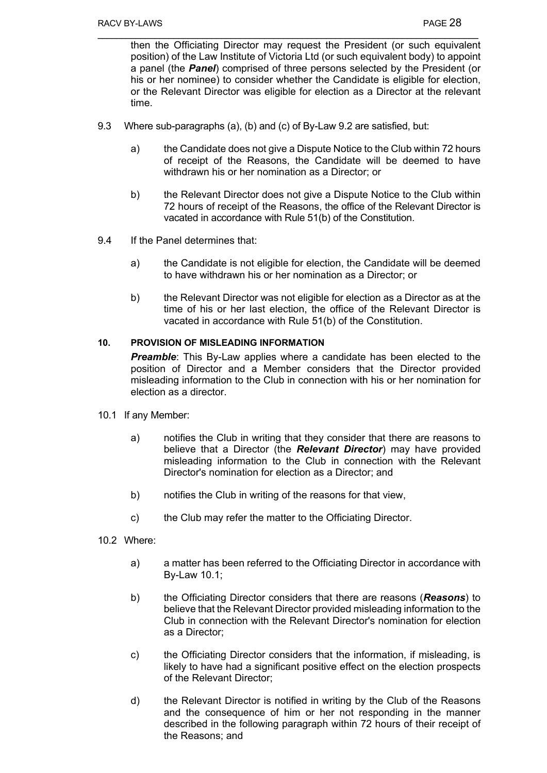then the Officiating Director may request the President (or such equivalent position) of the Law Institute of Victoria Ltd (or such equivalent body) to appoint a panel (the *Panel*) comprised of three persons selected by the President (or his or her nominee) to consider whether the Candidate is eligible for election, or the Relevant Director was eligible for election as a Director at the relevant time.

- 9.3 Where sub-paragraphs (a), (b) and (c) of By-Law 9.2 are satisfied, but:
	- a) the Candidate does not give a Dispute Notice to the Club within 72 hours of receipt of the Reasons, the Candidate will be deemed to have withdrawn his or her nomination as a Director; or
	- b) the Relevant Director does not give a Dispute Notice to the Club within 72 hours of receipt of the Reasons, the office of the Relevant Director is vacated in accordance with Rule 51(b) of the Constitution.
- 9.4 If the Panel determines that:
	- a) the Candidate is not eligible for election, the Candidate will be deemed to have withdrawn his or her nomination as a Director; or
	- b) the Relevant Director was not eligible for election as a Director as at the time of his or her last election, the office of the Relevant Director is vacated in accordance with Rule 51(b) of the Constitution.

#### **10. PROVISION OF MISLEADING INFORMATION**

*Preamble:* This By-Law applies where a candidate has been elected to the position of Director and a Member considers that the Director provided misleading information to the Club in connection with his or her nomination for election as a director.

- 10.1 If any Member:
	- a) notifies the Club in writing that they consider that there are reasons to believe that a Director (the *Relevant Director*) may have provided misleading information to the Club in connection with the Relevant Director's nomination for election as a Director; and
	- b) notifies the Club in writing of the reasons for that view,
	- c) the Club may refer the matter to the Officiating Director.
- 10.2 Where:
	- a) a matter has been referred to the Officiating Director in accordance with By-Law 10.1;
	- b) the Officiating Director considers that there are reasons (*Reasons*) to believe that the Relevant Director provided misleading information to the Club in connection with the Relevant Director's nomination for election as a Director;
	- c) the Officiating Director considers that the information, if misleading, is likely to have had a significant positive effect on the election prospects of the Relevant Director;
	- d) the Relevant Director is notified in writing by the Club of the Reasons and the consequence of him or her not responding in the manner described in the following paragraph within 72 hours of their receipt of the Reasons; and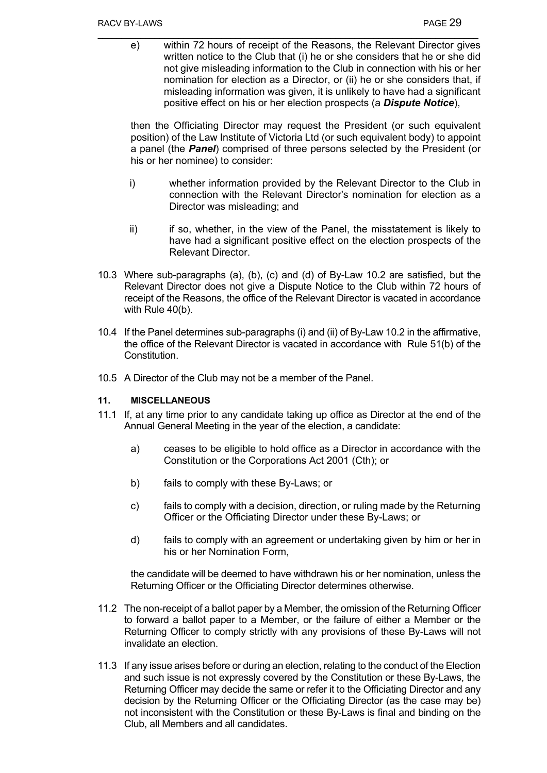e) within 72 hours of receipt of the Reasons, the Relevant Director gives written notice to the Club that (i) he or she considers that he or she did not give misleading information to the Club in connection with his or her nomination for election as a Director, or (ii) he or she considers that, if misleading information was given, it is unlikely to have had a significant positive effect on his or her election prospects (a *Dispute Notice*),

then the Officiating Director may request the President (or such equivalent position) of the Law Institute of Victoria Ltd (or such equivalent body) to appoint a panel (the *Panel*) comprised of three persons selected by the President (or his or her nominee) to consider:

- i) whether information provided by the Relevant Director to the Club in connection with the Relevant Director's nomination for election as a Director was misleading; and
- ii) if so, whether, in the view of the Panel, the misstatement is likely to have had a significant positive effect on the election prospects of the Relevant Director.
- 10.3 Where sub-paragraphs (a), (b), (c) and (d) of By-Law 10.2 are satisfied, but the Relevant Director does not give a Dispute Notice to the Club within 72 hours of receipt of the Reasons, the office of the Relevant Director is vacated in accordance with Rule 40(b).
- 10.4 If the Panel determines sub-paragraphs (i) and (ii) of By-Law 10.2 in the affirmative, the office of the Relevant Director is vacated in accordance with Rule 51(b) of the Constitution.
- 10.5 A Director of the Club may not be a member of the Panel.

## **11. MISCELLANEOUS**

- 11.1 If, at any time prior to any candidate taking up office as Director at the end of the Annual General Meeting in the year of the election, a candidate:
	- a) ceases to be eligible to hold office as a Director in accordance with the Constitution or the Corporations Act 2001 (Cth); or
	- b) fails to comply with these By-Laws; or
	- c) fails to comply with a decision, direction, or ruling made by the Returning Officer or the Officiating Director under these By-Laws; or
	- d) fails to comply with an agreement or undertaking given by him or her in his or her Nomination Form,

the candidate will be deemed to have withdrawn his or her nomination, unless the Returning Officer or the Officiating Director determines otherwise.

- 11.2 The non-receipt of a ballot paper by a Member, the omission of the Returning Officer to forward a ballot paper to a Member, or the failure of either a Member or the Returning Officer to comply strictly with any provisions of these By-Laws will not invalidate an election.
- 11.3 If any issue arises before or during an election, relating to the conduct of the Election and such issue is not expressly covered by the Constitution or these By-Laws, the Returning Officer may decide the same or refer it to the Officiating Director and any decision by the Returning Officer or the Officiating Director (as the case may be) not inconsistent with the Constitution or these By-Laws is final and binding on the Club, all Members and all candidates.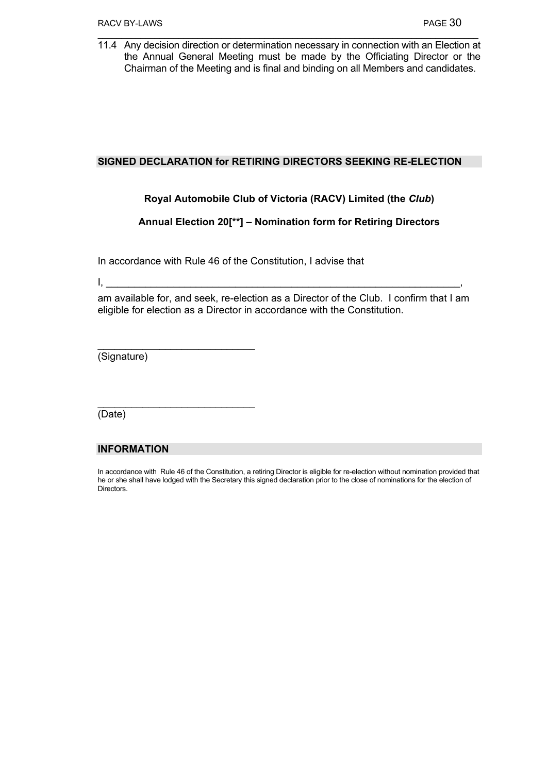11.4 Any decision direction or determination necessary in connection with an Election at the Annual General Meeting must be made by the Officiating Director or the Chairman of the Meeting and is final and binding on all Members and candidates.

### **SIGNED DECLARATION for RETIRING DIRECTORS SEEKING RE-ELECTION**

## **Royal Automobile Club of Victoria (RACV) Limited (the** *Club***)**

## **Annual Election 20[\*\*] – Nomination form for Retiring Directors**

In accordance with Rule 46 of the Constitution, I advise that

 $\mathsf{I}, \underline{\hspace{1cm}}$ 

am available for, and seek, re-election as a Director of the Club. I confirm that I am eligible for election as a Director in accordance with the Constitution.

(Signature)

 $\_$ 

 $\mathcal{L}=\{1,2,3,4,5\}$ 

(Date)

## **INFORMATION**

In accordance with Rule 46 of the Constitution, a retiring Director is eligible for re-election without nomination provided that he or she shall have lodged with the Secretary this signed declaration prior to the close of nominations for the election of Directors.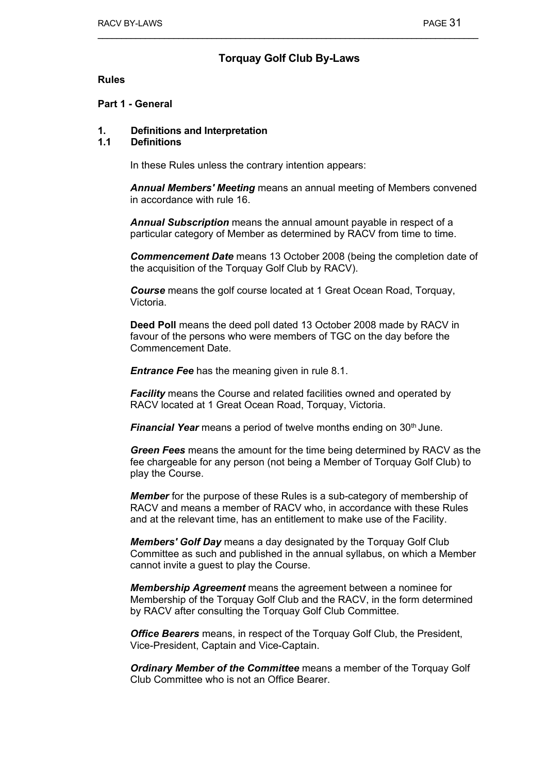## **Torquay Golf Club By-Laws**

#### **Rules**

#### **Part 1 - General**

#### **1. Definitions and Interpretation**

#### **1.1 Definitions**

In these Rules unless the contrary intention appears:

*Annual Members' Meeting* means an annual meeting of Members convened in accordance with rule 16.

*Annual Subscription* means the annual amount payable in respect of a particular category of Member as determined by RACV from time to time.

*Commencement Date* means 13 October 2008 (being the completion date of the acquisition of the Torquay Golf Club by RACV).

*Course* means the golf course located at 1 Great Ocean Road, Torquay, Victoria.

**Deed Poll** means the deed poll dated 13 October 2008 made by RACV in favour of the persons who were members of TGC on the day before the Commencement Date.

*Entrance Fee has the meaning given in rule 8.1.* 

**Facility** means the Course and related facilities owned and operated by RACV located at 1 Great Ocean Road, Torquay, Victoria.

*Financial Year* means a period of twelve months ending on 30<sup>th</sup> June.

*Green Fees* means the amount for the time being determined by RACV as the fee chargeable for any person (not being a Member of Torquay Golf Club) to play the Course.

*Member* for the purpose of these Rules is a sub-category of membership of RACV and means a member of RACV who, in accordance with these Rules and at the relevant time, has an entitlement to make use of the Facility.

*Members' Golf Day* means a day designated by the Torquay Golf Club Committee as such and published in the annual syllabus, on which a Member cannot invite a guest to play the Course.

*Membership Agreement* means the agreement between a nominee for Membership of the Torquay Golf Club and the RACV, in the form determined by RACV after consulting the Torquay Golf Club Committee.

*Office Bearers* means, in respect of the Torquay Golf Club, the President, Vice-President, Captain and Vice-Captain.

*Ordinary Member of the Committee* means a member of the Torquay Golf Club Committee who is not an Office Bearer.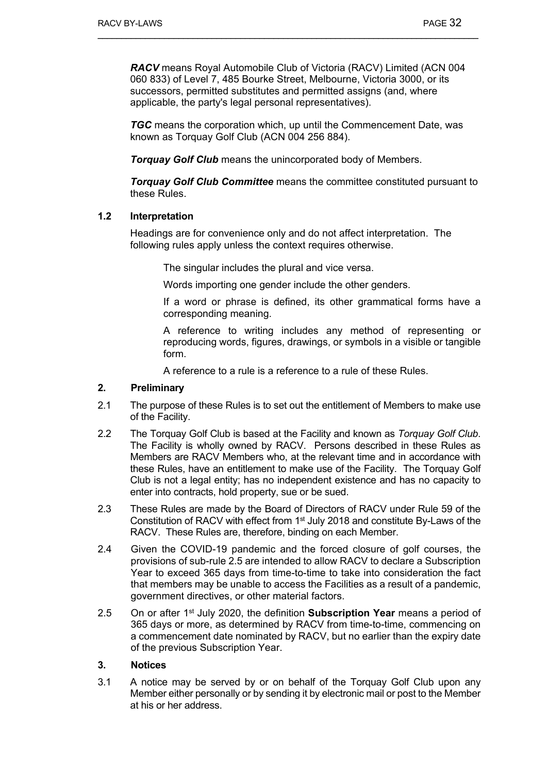*RACV* means Royal Automobile Club of Victoria (RACV) Limited (ACN 004 060 833) of Level 7, 485 Bourke Street, Melbourne, Victoria 3000, or its successors, permitted substitutes and permitted assigns (and, where applicable, the party's legal personal representatives).

**TGC** means the corporation which, up until the Commencement Date, was known as Torquay Golf Club (ACN 004 256 884).

*Torquay Golf Club* means the unincorporated body of Members.

*Torquay Golf Club Committee* means the committee constituted pursuant to these Rules.

#### **1.2 Interpretation**

Headings are for convenience only and do not affect interpretation. The following rules apply unless the context requires otherwise.

The singular includes the plural and vice versa.

Words importing one gender include the other genders.

 If a word or phrase is defined, its other grammatical forms have a corresponding meaning.

 A reference to writing includes any method of representing or reproducing words, figures, drawings, or symbols in a visible or tangible form.

A reference to a rule is a reference to a rule of these Rules.

## **2. Preliminary**

- 2.1 The purpose of these Rules is to set out the entitlement of Members to make use of the Facility.
- 2.2 The Torquay Golf Club is based at the Facility and known as *Torquay Golf Club*. The Facility is wholly owned by RACV. Persons described in these Rules as Members are RACV Members who, at the relevant time and in accordance with these Rules, have an entitlement to make use of the Facility. The Torquay Golf Club is not a legal entity; has no independent existence and has no capacity to enter into contracts, hold property, sue or be sued.
- 2.3 These Rules are made by the Board of Directors of RACV under Rule 59 of the Constitution of RACV with effect from 1<sup>st</sup> July 2018 and constitute By-Laws of the RACV. These Rules are, therefore, binding on each Member.
- 2.4 Given the COVID-19 pandemic and the forced closure of golf courses, the provisions of sub-rule 2.5 are intended to allow RACV to declare a Subscription Year to exceed 365 days from time-to-time to take into consideration the fact that members may be unable to access the Facilities as a result of a pandemic, government directives, or other material factors.
- 2.5 On or after 1st July 2020, the definition **Subscription Year** means a period of 365 days or more, as determined by RACV from time-to-time, commencing on a commencement date nominated by RACV, but no earlier than the expiry date of the previous Subscription Year.

#### **3. Notices**

3.1 A notice may be served by or on behalf of the Torquay Golf Club upon any Member either personally or by sending it by electronic mail or post to the Member at his or her address.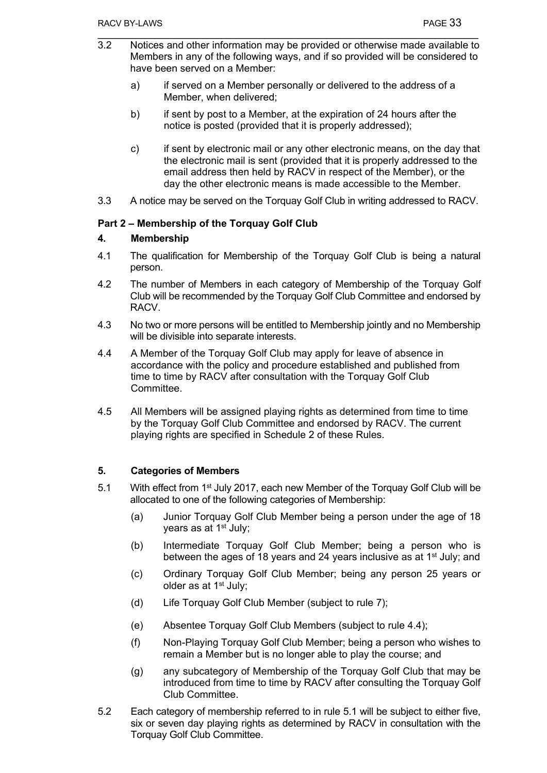- 3.2 Notices and other information may be provided or otherwise made available to Members in any of the following ways, and if so provided will be considered to have been served on a Member:
	- a) if served on a Member personally or delivered to the address of a Member, when delivered;
	- b) if sent by post to a Member, at the expiration of 24 hours after the notice is posted (provided that it is properly addressed);
	- c) if sent by electronic mail or any other electronic means, on the day that the electronic mail is sent (provided that it is properly addressed to the email address then held by RACV in respect of the Member), or the day the other electronic means is made accessible to the Member.
- 3.3 A notice may be served on the Torquay Golf Club in writing addressed to RACV.

## **Part 2 – Membership of the Torquay Golf Club**

## **4. Membership**

- 4.1 The qualification for Membership of the Torquay Golf Club is being a natural person.
- 4.2 The number of Members in each category of Membership of the Torquay Golf Club will be recommended by the Torquay Golf Club Committee and endorsed by RACV.
- 4.3 No two or more persons will be entitled to Membership jointly and no Membership will be divisible into separate interests.
- 4.4 A Member of the Torquay Golf Club may apply for leave of absence in accordance with the policy and procedure established and published from time to time by RACV after consultation with the Torquay Golf Club **Committee.**
- 4.5 All Members will be assigned playing rights as determined from time to time by the Torquay Golf Club Committee and endorsed by RACV. The current playing rights are specified in Schedule 2 of these Rules.

## **5. Categories of Members**

- 5.1 With effect from 1<sup>st</sup> July 2017, each new Member of the Torquay Golf Club will be allocated to one of the following categories of Membership:
	- (a) Junior Torquay Golf Club Member being a person under the age of 18 years as at 1st July;
	- (b) Intermediate Torquay Golf Club Member; being a person who is between the ages of 18 years and 24 years inclusive as at 1<sup>st</sup> July; and
	- (c) Ordinary Torquay Golf Club Member; being any person 25 years or older as at 1st July;
	- (d) Life Torquay Golf Club Member (subject to rule 7);
	- (e) Absentee Torquay Golf Club Members (subject to rule 4.4);
	- (f) Non-Playing Torquay Golf Club Member; being a person who wishes to remain a Member but is no longer able to play the course; and
	- (g) any subcategory of Membership of the Torquay Golf Club that may be introduced from time to time by RACV after consulting the Torquay Golf Club Committee.
- 5.2 Each category of membership referred to in rule 5.1 will be subject to either five, six or seven day playing rights as determined by RACV in consultation with the Torquay Golf Club Committee.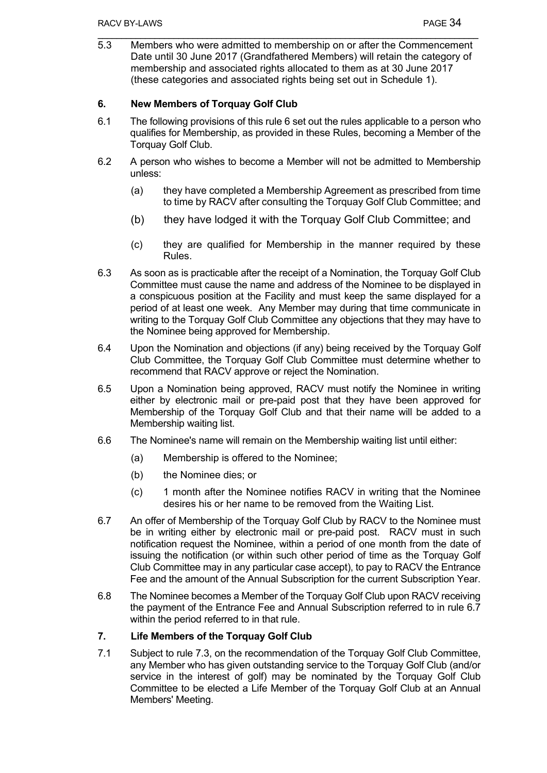5.3 Members who were admitted to membership on or after the Commencement Date until 30 June 2017 (Grandfathered Members) will retain the category of membership and associated rights allocated to them as at 30 June 2017 (these categories and associated rights being set out in Schedule 1).

## **6. New Members of Torquay Golf Club**

- 6.1 The following provisions of this rule 6 set out the rules applicable to a person who qualifies for Membership, as provided in these Rules, becoming a Member of the Torquay Golf Club.
- 6.2 A person who wishes to become a Member will not be admitted to Membership unless:
	- (a) they have completed a Membership Agreement as prescribed from time to time by RACV after consulting the Torquay Golf Club Committee; and
	- (b) they have lodged it with the Torquay Golf Club Committee; and
	- (c) they are qualified for Membership in the manner required by these Rules.
- 6.3 As soon as is practicable after the receipt of a Nomination, the Torquay Golf Club Committee must cause the name and address of the Nominee to be displayed in a conspicuous position at the Facility and must keep the same displayed for a period of at least one week. Any Member may during that time communicate in writing to the Torquay Golf Club Committee any objections that they may have to the Nominee being approved for Membership.
- 6.4 Upon the Nomination and objections (if any) being received by the Torquay Golf Club Committee, the Torquay Golf Club Committee must determine whether to recommend that RACV approve or reject the Nomination.
- 6.5 Upon a Nomination being approved, RACV must notify the Nominee in writing either by electronic mail or pre-paid post that they have been approved for Membership of the Torquay Golf Club and that their name will be added to a Membership waiting list.
- 6.6 The Nominee's name will remain on the Membership waiting list until either:
	- (a) Membership is offered to the Nominee;
	- (b) the Nominee dies; or
	- (c) 1 month after the Nominee notifies RACV in writing that the Nominee desires his or her name to be removed from the Waiting List.
- 6.7 An offer of Membership of the Torquay Golf Club by RACV to the Nominee must be in writing either by electronic mail or pre-paid post. RACV must in such notification request the Nominee, within a period of one month from the date of issuing the notification (or within such other period of time as the Torquay Golf Club Committee may in any particular case accept), to pay to RACV the Entrance Fee and the amount of the Annual Subscription for the current Subscription Year.
- 6.8 The Nominee becomes a Member of the Torquay Golf Club upon RACV receiving the payment of the Entrance Fee and Annual Subscription referred to in rule 6.7 within the period referred to in that rule.

## **7. Life Members of the Torquay Golf Club**

7.1 Subject to rule 7.3, on the recommendation of the Torquay Golf Club Committee, any Member who has given outstanding service to the Torquay Golf Club (and/or service in the interest of golf) may be nominated by the Torquay Golf Club Committee to be elected a Life Member of the Torquay Golf Club at an Annual Members' Meeting.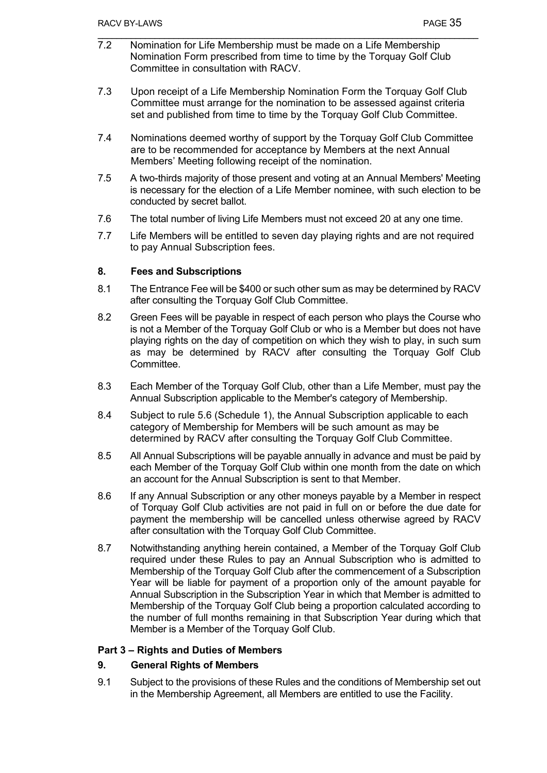- 7.2 Nomination for Life Membership must be made on a Life Membership Nomination Form prescribed from time to time by the Torquay Golf Club Committee in consultation with RACV.
- 7.3 Upon receipt of a Life Membership Nomination Form the Torquay Golf Club Committee must arrange for the nomination to be assessed against criteria set and published from time to time by the Torquay Golf Club Committee.
- 7.4 Nominations deemed worthy of support by the Torquay Golf Club Committee are to be recommended for acceptance by Members at the next Annual Members' Meeting following receipt of the nomination.
- 7.5 A two-thirds majority of those present and voting at an Annual Members' Meeting is necessary for the election of a Life Member nominee, with such election to be conducted by secret ballot.
- 7.6 The total number of living Life Members must not exceed 20 at any one time.
- 7.7 Life Members will be entitled to seven day playing rights and are not required to pay Annual Subscription fees.

#### **8. Fees and Subscriptions**

- 8.1 The Entrance Fee will be \$400 or such other sum as may be determined by RACV after consulting the Torquay Golf Club Committee.
- 8.2 Green Fees will be payable in respect of each person who plays the Course who is not a Member of the Torquay Golf Club or who is a Member but does not have playing rights on the day of competition on which they wish to play, in such sum as may be determined by RACV after consulting the Torquay Golf Club Committee.
- 8.3 Each Member of the Torquay Golf Club, other than a Life Member, must pay the Annual Subscription applicable to the Member's category of Membership.
- 8.4 Subject to rule 5.6 (Schedule 1), the Annual Subscription applicable to each category of Membership for Members will be such amount as may be determined by RACV after consulting the Torquay Golf Club Committee.
- 8.5 All Annual Subscriptions will be payable annually in advance and must be paid by each Member of the Torquay Golf Club within one month from the date on which an account for the Annual Subscription is sent to that Member.
- 8.6 If any Annual Subscription or any other moneys payable by a Member in respect of Torquay Golf Club activities are not paid in full on or before the due date for payment the membership will be cancelled unless otherwise agreed by RACV after consultation with the Torquay Golf Club Committee.
- 8.7 Notwithstanding anything herein contained, a Member of the Torquay Golf Club required under these Rules to pay an Annual Subscription who is admitted to Membership of the Torquay Golf Club after the commencement of a Subscription Year will be liable for payment of a proportion only of the amount payable for Annual Subscription in the Subscription Year in which that Member is admitted to Membership of the Torquay Golf Club being a proportion calculated according to the number of full months remaining in that Subscription Year during which that Member is a Member of the Torquay Golf Club.

#### **Part 3 – Rights and Duties of Members**

## **9. General Rights of Members**

9.1 Subject to the provisions of these Rules and the conditions of Membership set out in the Membership Agreement, all Members are entitled to use the Facility.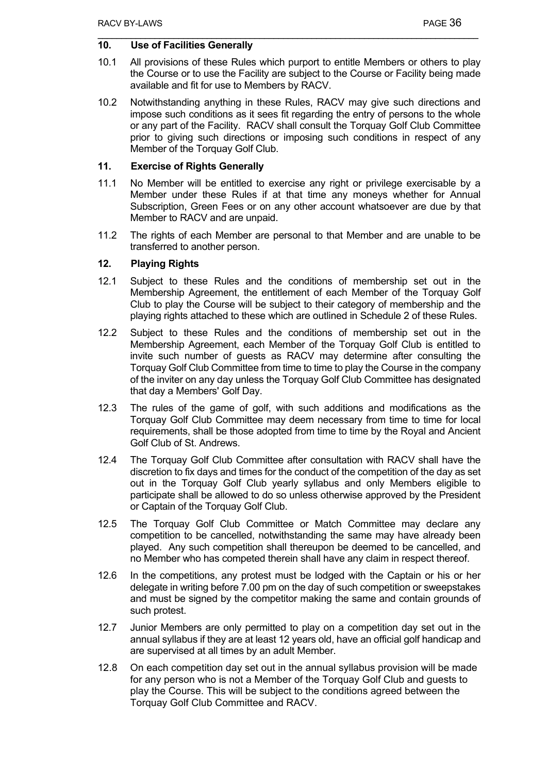## **10. Use of Facilities Generally**

- 10.1 All provisions of these Rules which purport to entitle Members or others to play the Course or to use the Facility are subject to the Course or Facility being made available and fit for use to Members by RACV.
- 10.2 Notwithstanding anything in these Rules, RACV may give such directions and impose such conditions as it sees fit regarding the entry of persons to the whole or any part of the Facility. RACV shall consult the Torquay Golf Club Committee prior to giving such directions or imposing such conditions in respect of any Member of the Torquay Golf Club.

## **11. Exercise of Rights Generally**

- 11.1 No Member will be entitled to exercise any right or privilege exercisable by a Member under these Rules if at that time any moneys whether for Annual Subscription, Green Fees or on any other account whatsoever are due by that Member to RACV and are unpaid.
- 11.2 The rights of each Member are personal to that Member and are unable to be transferred to another person.

#### **12. Playing Rights**

- 12.1 Subject to these Rules and the conditions of membership set out in the Membership Agreement, the entitlement of each Member of the Torquay Golf Club to play the Course will be subject to their category of membership and the playing rights attached to these which are outlined in Schedule 2 of these Rules.
- 12.2 Subject to these Rules and the conditions of membership set out in the Membership Agreement, each Member of the Torquay Golf Club is entitled to invite such number of guests as RACV may determine after consulting the Torquay Golf Club Committee from time to time to play the Course in the company of the inviter on any day unless the Torquay Golf Club Committee has designated that day a Members' Golf Day.
- 12.3 The rules of the game of golf, with such additions and modifications as the Torquay Golf Club Committee may deem necessary from time to time for local requirements, shall be those adopted from time to time by the Royal and Ancient Golf Club of St. Andrews.
- 12.4 The Torquay Golf Club Committee after consultation with RACV shall have the discretion to fix days and times for the conduct of the competition of the day as set out in the Torquay Golf Club yearly syllabus and only Members eligible to participate shall be allowed to do so unless otherwise approved by the President or Captain of the Torquay Golf Club.
- 12.5 The Torquay Golf Club Committee or Match Committee may declare any competition to be cancelled, notwithstanding the same may have already been played. Any such competition shall thereupon be deemed to be cancelled, and no Member who has competed therein shall have any claim in respect thereof.
- 12.6 In the competitions, any protest must be lodged with the Captain or his or her delegate in writing before 7.00 pm on the day of such competition or sweepstakes and must be signed by the competitor making the same and contain grounds of such protest.
- 12.7 Junior Members are only permitted to play on a competition day set out in the annual syllabus if they are at least 12 years old, have an official golf handicap and are supervised at all times by an adult Member.
- 12.8 On each competition day set out in the annual syllabus provision will be made for any person who is not a Member of the Torquay Golf Club and guests to play the Course. This will be subject to the conditions agreed between the Torquay Golf Club Committee and RACV.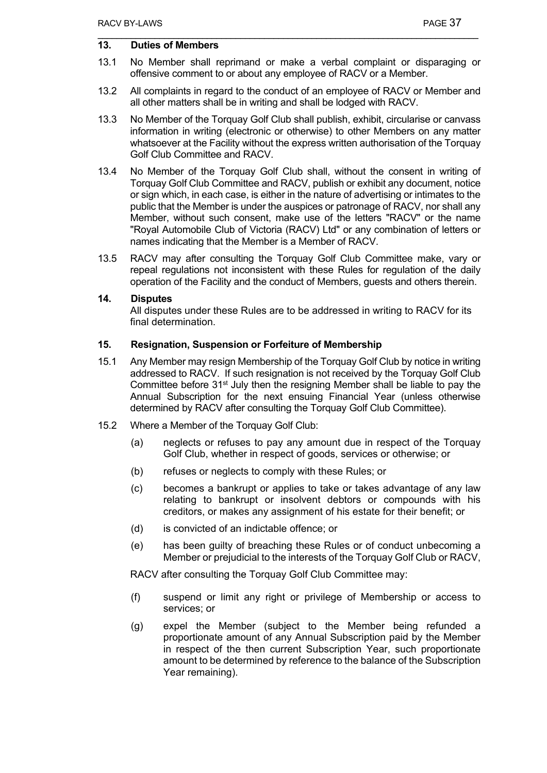## **13. Duties of Members**

- 13.1 No Member shall reprimand or make a verbal complaint or disparaging or offensive comment to or about any employee of RACV or a Member.
- 13.2 All complaints in regard to the conduct of an employee of RACV or Member and all other matters shall be in writing and shall be lodged with RACV.
- 13.3 No Member of the Torquay Golf Club shall publish, exhibit, circularise or canvass information in writing (electronic or otherwise) to other Members on any matter whatsoever at the Facility without the express written authorisation of the Torquay Golf Club Committee and RACV.
- 13.4 No Member of the Torquay Golf Club shall, without the consent in writing of Torquay Golf Club Committee and RACV, publish or exhibit any document, notice or sign which, in each case, is either in the nature of advertising or intimates to the public that the Member is under the auspices or patronage of RACV, nor shall any Member, without such consent, make use of the letters "RACV" or the name "Royal Automobile Club of Victoria (RACV) Ltd" or any combination of letters or names indicating that the Member is a Member of RACV.
- 13.5 RACV may after consulting the Torquay Golf Club Committee make, vary or repeal regulations not inconsistent with these Rules for regulation of the daily operation of the Facility and the conduct of Members, guests and others therein.

#### **14. Disputes**

All disputes under these Rules are to be addressed in writing to RACV for its final determination.

#### **15. Resignation, Suspension or Forfeiture of Membership**

- 15.1 Any Member may resign Membership of the Torquay Golf Club by notice in writing addressed to RACV. If such resignation is not received by the Torquay Golf Club Committee before  $31<sup>st</sup>$  July then the resigning Member shall be liable to pay the Annual Subscription for the next ensuing Financial Year (unless otherwise determined by RACV after consulting the Torquay Golf Club Committee).
- 15.2 Where a Member of the Torquay Golf Club:
	- (a) neglects or refuses to pay any amount due in respect of the Torquay Golf Club, whether in respect of goods, services or otherwise; or
	- (b) refuses or neglects to comply with these Rules; or
	- (c) becomes a bankrupt or applies to take or takes advantage of any law relating to bankrupt or insolvent debtors or compounds with his creditors, or makes any assignment of his estate for their benefit; or
	- (d) is convicted of an indictable offence; or
	- (e) has been guilty of breaching these Rules or of conduct unbecoming a Member or prejudicial to the interests of the Torquay Golf Club or RACV,

RACV after consulting the Torquay Golf Club Committee may:

- (f) suspend or limit any right or privilege of Membership or access to services; or
- (g) expel the Member (subject to the Member being refunded a proportionate amount of any Annual Subscription paid by the Member in respect of the then current Subscription Year, such proportionate amount to be determined by reference to the balance of the Subscription Year remaining).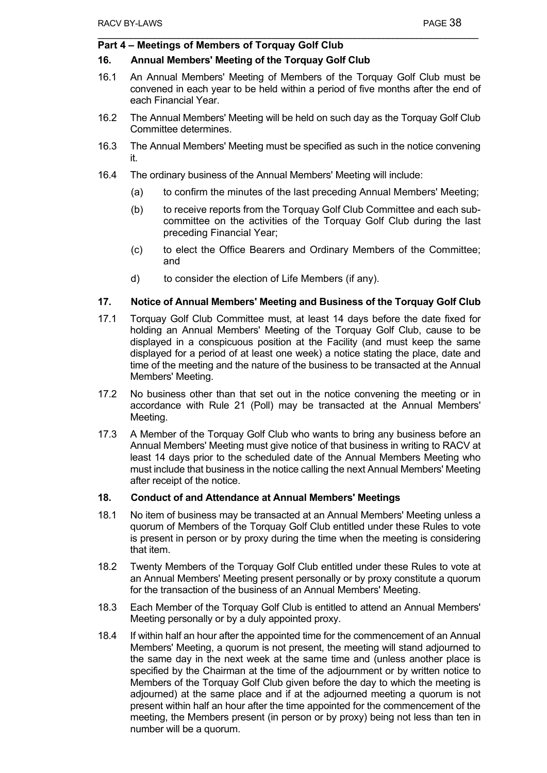## **Part 4 – Meetings of Members of Torquay Golf Club**

#### **16. Annual Members' Meeting of the Torquay Golf Club**

- 16.1 An Annual Members' Meeting of Members of the Torquay Golf Club must be convened in each year to be held within a period of five months after the end of each Financial Year.
- 16.2 The Annual Members' Meeting will be held on such day as the Torquay Golf Club Committee determines.
- 16.3 The Annual Members' Meeting must be specified as such in the notice convening it.
- 16.4 The ordinary business of the Annual Members' Meeting will include:
	- (a) to confirm the minutes of the last preceding Annual Members' Meeting;
	- (b) to receive reports from the Torquay Golf Club Committee and each subcommittee on the activities of the Torquay Golf Club during the last preceding Financial Year;
	- (c) to elect the Office Bearers and Ordinary Members of the Committee; and
	- d) to consider the election of Life Members (if any).

#### **17. Notice of Annual Members' Meeting and Business of the Torquay Golf Club**

- 17.1 Torquay Golf Club Committee must, at least 14 days before the date fixed for holding an Annual Members' Meeting of the Torquay Golf Club, cause to be displayed in a conspicuous position at the Facility (and must keep the same displayed for a period of at least one week) a notice stating the place, date and time of the meeting and the nature of the business to be transacted at the Annual Members' Meeting.
- 17.2 No business other than that set out in the notice convening the meeting or in accordance with Rule 21 (Poll) may be transacted at the Annual Members' Meeting.
- 17.3 A Member of the Torquay Golf Club who wants to bring any business before an Annual Members' Meeting must give notice of that business in writing to RACV at least 14 days prior to the scheduled date of the Annual Members Meeting who must include that business in the notice calling the next Annual Members' Meeting after receipt of the notice.

#### **18. Conduct of and Attendance at Annual Members' Meetings**

- 18.1 No item of business may be transacted at an Annual Members' Meeting unless a quorum of Members of the Torquay Golf Club entitled under these Rules to vote is present in person or by proxy during the time when the meeting is considering that item.
- 18.2 Twenty Members of the Torquay Golf Club entitled under these Rules to vote at an Annual Members' Meeting present personally or by proxy constitute a quorum for the transaction of the business of an Annual Members' Meeting.
- 18.3 Each Member of the Torquay Golf Club is entitled to attend an Annual Members' Meeting personally or by a duly appointed proxy.
- 18.4 If within half an hour after the appointed time for the commencement of an Annual Members' Meeting, a quorum is not present, the meeting will stand adjourned to the same day in the next week at the same time and (unless another place is specified by the Chairman at the time of the adjournment or by written notice to Members of the Torquay Golf Club given before the day to which the meeting is adjourned) at the same place and if at the adjourned meeting a quorum is not present within half an hour after the time appointed for the commencement of the meeting, the Members present (in person or by proxy) being not less than ten in number will be a quorum.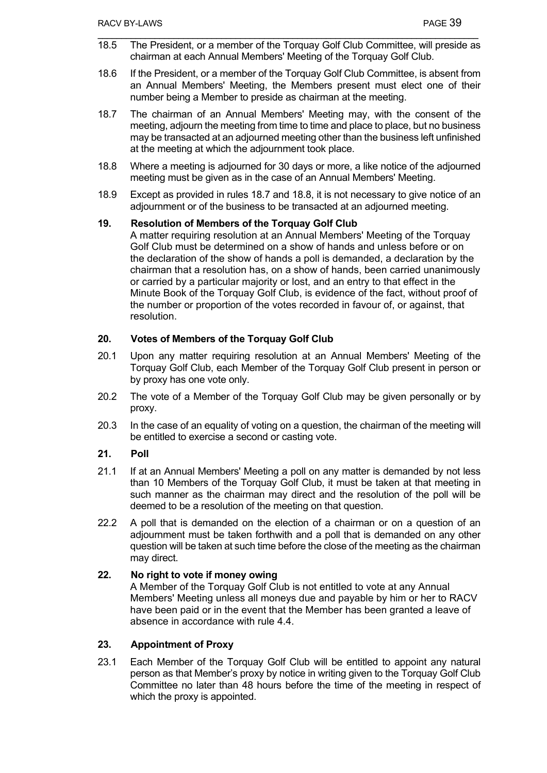- 18.5 The President, or a member of the Torquay Golf Club Committee, will preside as chairman at each Annual Members' Meeting of the Torquay Golf Club.
- 18.6 If the President, or a member of the Torquay Golf Club Committee, is absent from an Annual Members' Meeting, the Members present must elect one of their number being a Member to preside as chairman at the meeting.
- 18.7 The chairman of an Annual Members' Meeting may, with the consent of the meeting, adjourn the meeting from time to time and place to place, but no business may be transacted at an adjourned meeting other than the business left unfinished at the meeting at which the adjournment took place.
- 18.8 Where a meeting is adjourned for 30 days or more, a like notice of the adjourned meeting must be given as in the case of an Annual Members' Meeting.
- 18.9 Except as provided in rules 18.7 and 18.8, it is not necessary to give notice of an adjournment or of the business to be transacted at an adjourned meeting.

## **19. Resolution of Members of the Torquay Golf Club**

A matter requiring resolution at an Annual Members' Meeting of the Torquay Golf Club must be determined on a show of hands and unless before or on the declaration of the show of hands a poll is demanded, a declaration by the chairman that a resolution has, on a show of hands, been carried unanimously or carried by a particular majority or lost, and an entry to that effect in the Minute Book of the Torquay Golf Club, is evidence of the fact, without proof of the number or proportion of the votes recorded in favour of, or against, that resolution.

## **20. Votes of Members of the Torquay Golf Club**

- 20.1 Upon any matter requiring resolution at an Annual Members' Meeting of the Torquay Golf Club, each Member of the Torquay Golf Club present in person or by proxy has one vote only.
- 20.2 The vote of a Member of the Torquay Golf Club may be given personally or by proxy.
- 20.3 In the case of an equality of voting on a question, the chairman of the meeting will be entitled to exercise a second or casting vote.

## **21. Poll**

- 21.1 If at an Annual Members' Meeting a poll on any matter is demanded by not less than 10 Members of the Torquay Golf Club, it must be taken at that meeting in such manner as the chairman may direct and the resolution of the poll will be deemed to be a resolution of the meeting on that question.
- 22.2 A poll that is demanded on the election of a chairman or on a question of an adjournment must be taken forthwith and a poll that is demanded on any other question will be taken at such time before the close of the meeting as the chairman may direct.

## **22. No right to vote if money owing**

A Member of the Torquay Golf Club is not entitled to vote at any Annual Members' Meeting unless all moneys due and payable by him or her to RACV have been paid or in the event that the Member has been granted a leave of absence in accordance with rule 4.4.

## **23. Appointment of Proxy**

23.1 Each Member of the Torquay Golf Club will be entitled to appoint any natural person as that Member's proxy by notice in writing given to the Torquay Golf Club Committee no later than 48 hours before the time of the meeting in respect of which the proxy is appointed.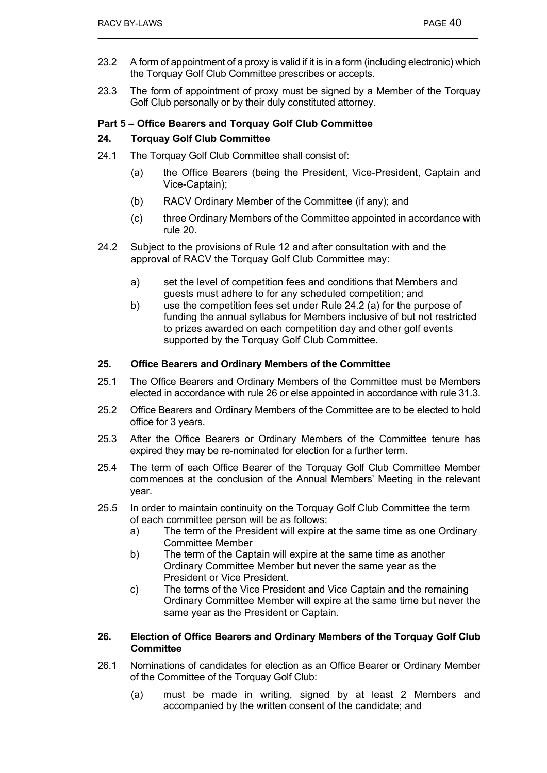- 23.2 A form of appointment of a proxy is valid if it is in a form (including electronic) which the Torquay Golf Club Committee prescribes or accepts.
- 23.3 The form of appointment of proxy must be signed by a Member of the Torquay Golf Club personally or by their duly constituted attorney.

## **Part 5 – Office Bearers and Torquay Golf Club Committee**

## **24. Torquay Golf Club Committee**

- 24.1 The Torquay Golf Club Committee shall consist of:
	- (a) the Office Bearers (being the President, Vice-President, Captain and Vice-Captain);
	- (b) RACV Ordinary Member of the Committee (if any); and
	- (c) three Ordinary Members of the Committee appointed in accordance with rule 20.
- 24.2 Subject to the provisions of Rule 12 and after consultation with and the approval of RACV the Torquay Golf Club Committee may:
	- a) set the level of competition fees and conditions that Members and guests must adhere to for any scheduled competition; and
	- b) use the competition fees set under Rule 24.2 (a) for the purpose of funding the annual syllabus for Members inclusive of but not restricted to prizes awarded on each competition day and other golf events supported by the Torquay Golf Club Committee.

#### **25. Office Bearers and Ordinary Members of the Committee**

- 25.1 The Office Bearers and Ordinary Members of the Committee must be Members elected in accordance with rule 26 or else appointed in accordance with rule 31.3.
- 25.2 Office Bearers and Ordinary Members of the Committee are to be elected to hold office for 3 years.
- 25.3 After the Office Bearers or Ordinary Members of the Committee tenure has expired they may be re-nominated for election for a further term.
- 25.4 The term of each Office Bearer of the Torquay Golf Club Committee Member commences at the conclusion of the Annual Members' Meeting in the relevant year.
- 25.5 In order to maintain continuity on the Torquay Golf Club Committee the term of each committee person will be as follows:
	- a) The term of the President will expire at the same time as one Ordinary Committee Member
	- b) The term of the Captain will expire at the same time as another Ordinary Committee Member but never the same year as the President or Vice President.
	- c) The terms of the Vice President and Vice Captain and the remaining Ordinary Committee Member will expire at the same time but never the same year as the President or Captain.

#### **26. Election of Office Bearers and Ordinary Members of the Torquay Golf Club Committee**

- 26.1 Nominations of candidates for election as an Office Bearer or Ordinary Member of the Committee of the Torquay Golf Club:
	- (a) must be made in writing, signed by at least 2 Members and accompanied by the written consent of the candidate; and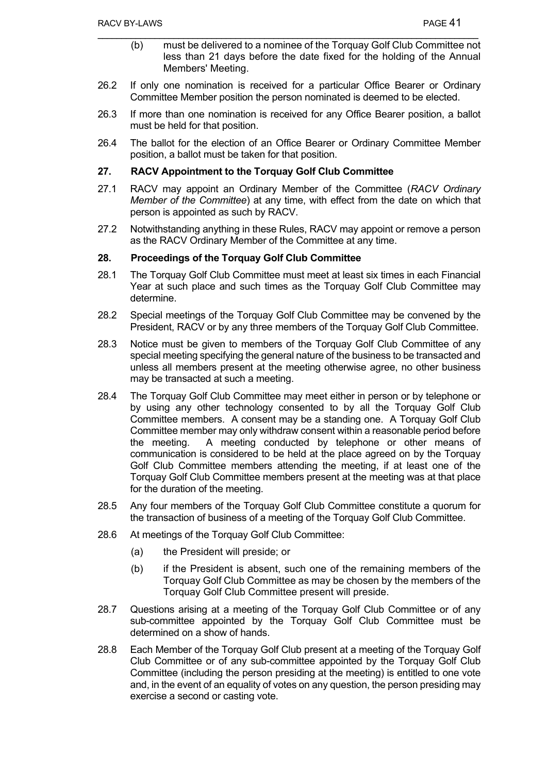- (b) must be delivered to a nominee of the Torquay Golf Club Committee not less than 21 days before the date fixed for the holding of the Annual Members' Meeting.
- 26.2 If only one nomination is received for a particular Office Bearer or Ordinary Committee Member position the person nominated is deemed to be elected.
- 26.3 If more than one nomination is received for any Office Bearer position, a ballot must be held for that position.
- 26.4 The ballot for the election of an Office Bearer or Ordinary Committee Member position, a ballot must be taken for that position.

## **27. RACV Appointment to the Torquay Golf Club Committee**

- 27.1 RACV may appoint an Ordinary Member of the Committee (*RACV Ordinary Member of the Committee*) at any time, with effect from the date on which that person is appointed as such by RACV.
- 27.2 Notwithstanding anything in these Rules, RACV may appoint or remove a person as the RACV Ordinary Member of the Committee at any time.

#### **28. Proceedings of the Torquay Golf Club Committee**

- 28.1 The Torquay Golf Club Committee must meet at least six times in each Financial Year at such place and such times as the Torquay Golf Club Committee may determine.
- 28.2 Special meetings of the Torquay Golf Club Committee may be convened by the President, RACV or by any three members of the Torquay Golf Club Committee.
- 28.3 Notice must be given to members of the Torquay Golf Club Committee of any special meeting specifying the general nature of the business to be transacted and unless all members present at the meeting otherwise agree, no other business may be transacted at such a meeting.
- 28.4 The Torquay Golf Club Committee may meet either in person or by telephone or by using any other technology consented to by all the Torquay Golf Club Committee members. A consent may be a standing one. A Torquay Golf Club Committee member may only withdraw consent within a reasonable period before the meeting. A meeting conducted by telephone or other means of communication is considered to be held at the place agreed on by the Torquay Golf Club Committee members attending the meeting, if at least one of the Torquay Golf Club Committee members present at the meeting was at that place for the duration of the meeting.
- 28.5 Any four members of the Torquay Golf Club Committee constitute a quorum for the transaction of business of a meeting of the Torquay Golf Club Committee.
- 28.6 At meetings of the Torquay Golf Club Committee:
	- (a) the President will preside; or
	- (b) if the President is absent, such one of the remaining members of the Torquay Golf Club Committee as may be chosen by the members of the Torquay Golf Club Committee present will preside.
- 28.7 Questions arising at a meeting of the Torquay Golf Club Committee or of any sub-committee appointed by the Torquay Golf Club Committee must be determined on a show of hands.
- 28.8 Each Member of the Torquay Golf Club present at a meeting of the Torquay Golf Club Committee or of any sub-committee appointed by the Torquay Golf Club Committee (including the person presiding at the meeting) is entitled to one vote and, in the event of an equality of votes on any question, the person presiding may exercise a second or casting vote.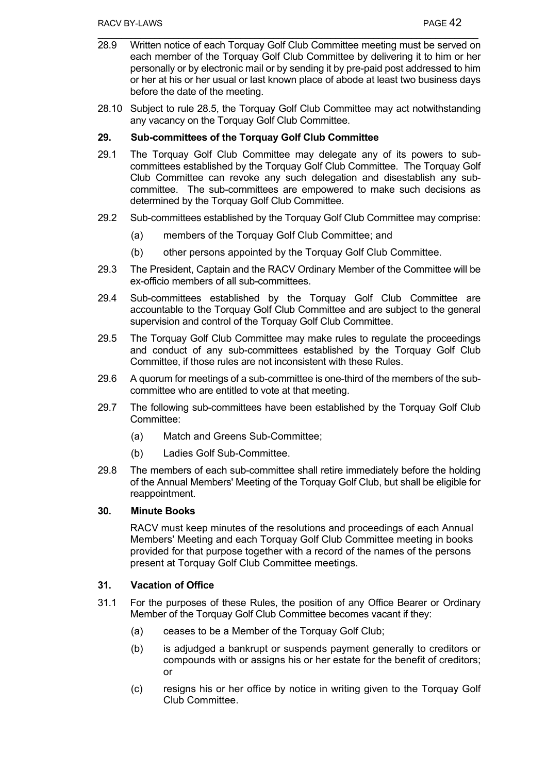- 28.9 Written notice of each Torquay Golf Club Committee meeting must be served on each member of the Torquay Golf Club Committee by delivering it to him or her personally or by electronic mail or by sending it by pre-paid post addressed to him or her at his or her usual or last known place of abode at least two business days before the date of the meeting.
- 28.10 Subject to rule 28.5, the Torquay Golf Club Committee may act notwithstanding any vacancy on the Torquay Golf Club Committee.

## **29. Sub-committees of the Torquay Golf Club Committee**

- 29.1 The Torquay Golf Club Committee may delegate any of its powers to subcommittees established by the Torquay Golf Club Committee. The Torquay Golf Club Committee can revoke any such delegation and disestablish any subcommittee. The sub-committees are empowered to make such decisions as determined by the Torquay Golf Club Committee.
- 29.2 Sub-committees established by the Torquay Golf Club Committee may comprise:
	- (a) members of the Torquay Golf Club Committee; and
	- (b) other persons appointed by the Torquay Golf Club Committee.
- 29.3 The President, Captain and the RACV Ordinary Member of the Committee will be ex-officio members of all sub-committees.
- 29.4 Sub-committees established by the Torquay Golf Club Committee are accountable to the Torquay Golf Club Committee and are subject to the general supervision and control of the Torquay Golf Club Committee.
- 29.5 The Torquay Golf Club Committee may make rules to regulate the proceedings and conduct of any sub-committees established by the Torquay Golf Club Committee, if those rules are not inconsistent with these Rules.
- 29.6 A quorum for meetings of a sub-committee is one-third of the members of the subcommittee who are entitled to vote at that meeting.
- 29.7 The following sub-committees have been established by the Torquay Golf Club Committee:
	- (a) Match and Greens Sub-Committee;
	- (b) Ladies Golf Sub-Committee.
- 29.8 The members of each sub-committee shall retire immediately before the holding of the Annual Members' Meeting of the Torquay Golf Club, but shall be eligible for reappointment.

#### **30. Minute Books**

RACV must keep minutes of the resolutions and proceedings of each Annual Members' Meeting and each Torquay Golf Club Committee meeting in books provided for that purpose together with a record of the names of the persons present at Torquay Golf Club Committee meetings.

## **31. Vacation of Office**

- 31.1 For the purposes of these Rules, the position of any Office Bearer or Ordinary Member of the Torquay Golf Club Committee becomes vacant if they:
	- (a) ceases to be a Member of the Torquay Golf Club;
	- (b) is adjudged a bankrupt or suspends payment generally to creditors or compounds with or assigns his or her estate for the benefit of creditors; or
	- (c) resigns his or her office by notice in writing given to the Torquay Golf Club Committee.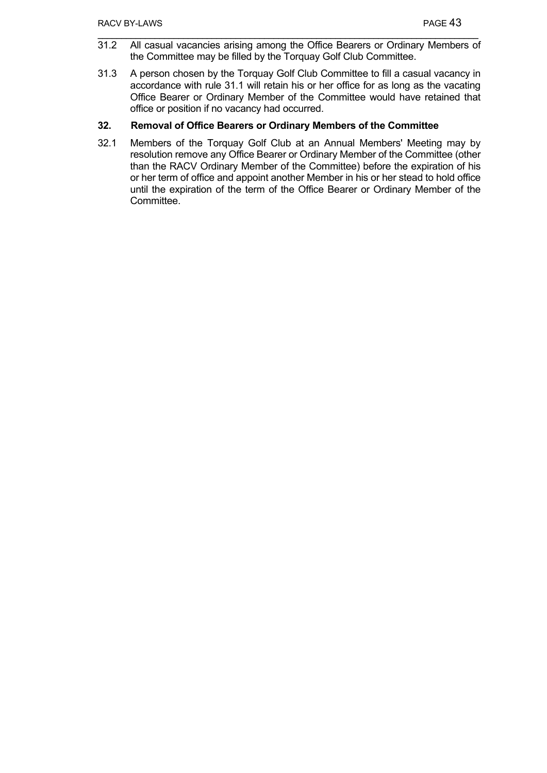- 31.2 All casual vacancies arising among the Office Bearers or Ordinary Members of the Committee may be filled by the Torquay Golf Club Committee.
- 31.3 A person chosen by the Torquay Golf Club Committee to fill a casual vacancy in accordance with rule 31.1 will retain his or her office for as long as the vacating Office Bearer or Ordinary Member of the Committee would have retained that office or position if no vacancy had occurred.

## **32. Removal of Office Bearers or Ordinary Members of the Committee**

32.1 Members of the Torquay Golf Club at an Annual Members' Meeting may by resolution remove any Office Bearer or Ordinary Member of the Committee (other than the RACV Ordinary Member of the Committee) before the expiration of his or her term of office and appoint another Member in his or her stead to hold office until the expiration of the term of the Office Bearer or Ordinary Member of the Committee.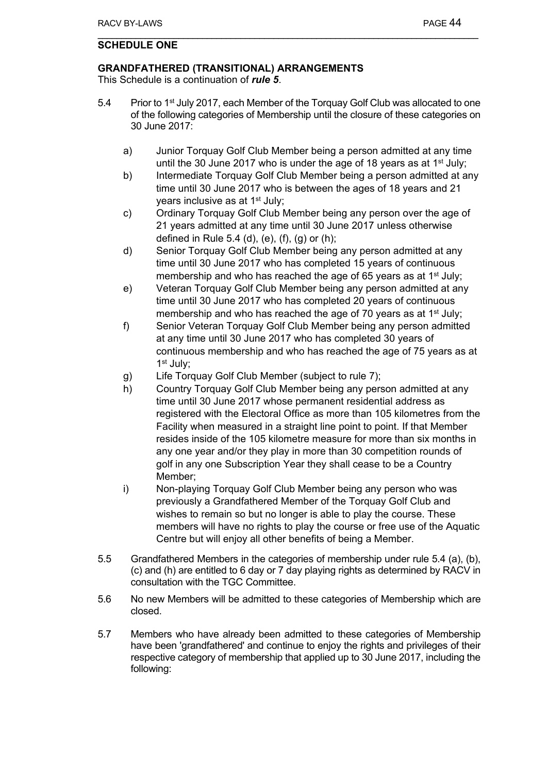## **SCHEDULE ONE**

## **GRANDFATHERED (TRANSITIONAL) ARRANGEMENTS**

This Schedule is a continuation of *rule 5*.

- 5.4 Prior to 1<sup>st</sup> July 2017, each Member of the Torquay Golf Club was allocated to one of the following categories of Membership until the closure of these categories on 30 June 2017:
	- a) Junior Torquay Golf Club Member being a person admitted at any time until the 30 June 2017 who is under the age of 18 years as at  $1<sup>st</sup>$  July;
	- b) Intermediate Torquay Golf Club Member being a person admitted at any time until 30 June 2017 who is between the ages of 18 years and 21 years inclusive as at 1<sup>st</sup> July;
	- c) Ordinary Torquay Golf Club Member being any person over the age of 21 years admitted at any time until 30 June 2017 unless otherwise defined in Rule 5.4 (d), (e), (f), (g) or (h);
	- d) Senior Torquay Golf Club Member being any person admitted at any time until 30 June 2017 who has completed 15 years of continuous membership and who has reached the age of 65 years as at 1<sup>st</sup> July;
	- e) Veteran Torquay Golf Club Member being any person admitted at any time until 30 June 2017 who has completed 20 years of continuous membership and who has reached the age of 70 years as at 1<sup>st</sup> July;
	- f) Senior Veteran Torquay Golf Club Member being any person admitted at any time until 30 June 2017 who has completed 30 years of continuous membership and who has reached the age of 75 years as at 1st July;
	- g) Life Torquay Golf Club Member (subject to rule 7);
	- h) Country Torquay Golf Club Member being any person admitted at any time until 30 June 2017 whose permanent residential address as registered with the Electoral Office as more than 105 kilometres from the Facility when measured in a straight line point to point. If that Member resides inside of the 105 kilometre measure for more than six months in any one year and/or they play in more than 30 competition rounds of golf in any one Subscription Year they shall cease to be a Country Member;
	- i) Non-playing Torquay Golf Club Member being any person who was previously a Grandfathered Member of the Torquay Golf Club and wishes to remain so but no longer is able to play the course. These members will have no rights to play the course or free use of the Aquatic Centre but will enjoy all other benefits of being a Member.
- 5.5 Grandfathered Members in the categories of membership under rule 5.4 (a), (b), (c) and (h) are entitled to 6 day or 7 day playing rights as determined by RACV in consultation with the TGC Committee.
- 5.6 No new Members will be admitted to these categories of Membership which are closed.
- 5.7 Members who have already been admitted to these categories of Membership have been 'grandfathered' and continue to enjoy the rights and privileges of their respective category of membership that applied up to 30 June 2017, including the following: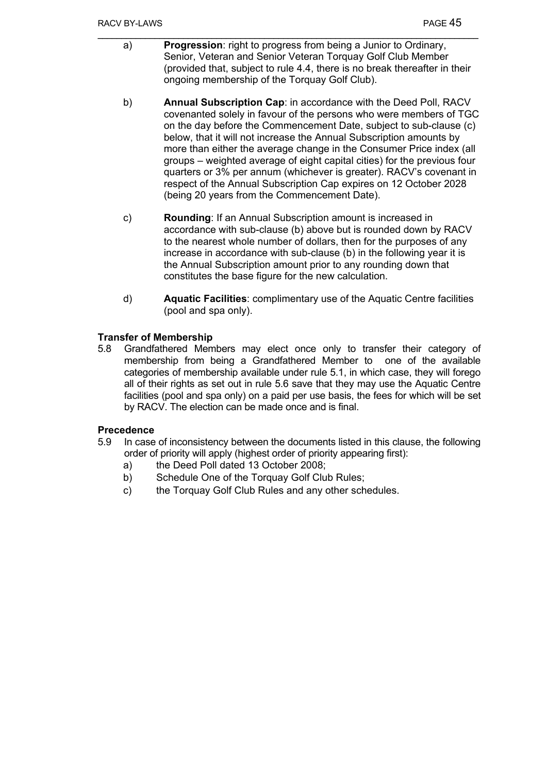- a) **Progression**: right to progress from being a Junior to Ordinary, Senior, Veteran and Senior Veteran Torquay Golf Club Member (provided that, subject to rule 4.4, there is no break thereafter in their ongoing membership of the Torquay Golf Club).
- b) **Annual Subscription Cap**: in accordance with the Deed Poll, RACV covenanted solely in favour of the persons who were members of TGC on the day before the Commencement Date, subject to sub-clause (c) below, that it will not increase the Annual Subscription amounts by more than either the average change in the Consumer Price index (all groups – weighted average of eight capital cities) for the previous four quarters or 3% per annum (whichever is greater). RACV's covenant in respect of the Annual Subscription Cap expires on 12 October 2028 (being 20 years from the Commencement Date).
- c) **Rounding**: If an Annual Subscription amount is increased in accordance with sub-clause (b) above but is rounded down by RACV to the nearest whole number of dollars, then for the purposes of any increase in accordance with sub-clause (b) in the following year it is the Annual Subscription amount prior to any rounding down that constitutes the base figure for the new calculation.
- d) **Aquatic Facilities**: complimentary use of the Aquatic Centre facilities (pool and spa only).

## **Transfer of Membership**

5.8 Grandfathered Members may elect once only to transfer their category of membership from being a Grandfathered Member to one of the available categories of membership available under rule 5.1, in which case, they will forego all of their rights as set out in rule 5.6 save that they may use the Aquatic Centre facilities (pool and spa only) on a paid per use basis, the fees for which will be set by RACV. The election can be made once and is final.

## **Precedence**

- 5.9 In case of inconsistency between the documents listed in this clause, the following order of priority will apply (highest order of priority appearing first):
	- a) the Deed Poll dated 13 October 2008;
	- b) Schedule One of the Torquay Golf Club Rules;
	- c) the Torquay Golf Club Rules and any other schedules.